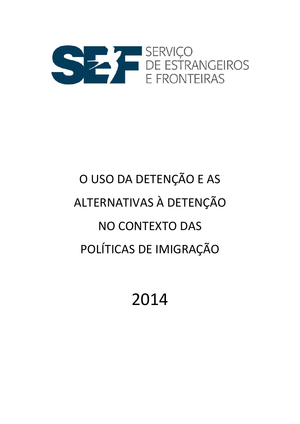

# O USO DA DETENÇÃO E AS ALTERNATIVAS À DETENÇÃO NO CONTEXTO DAS POLÍTICAS DE IMIGRAÇÃO

# 2014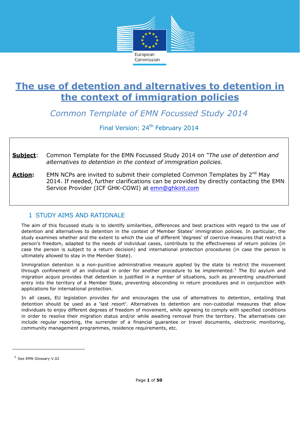

*Common Template of EMN Focussed Study 2014*

Final Version: 24<sup>th</sup> February 2014

**Subject**: Common Template for the EMN Focussed Study 2014 on *"The use of detention and alternatives to detention in the context of immigration policies.*

**Action:** EMN NCPs are invited to submit their completed Common Templates by 2<sup>nd</sup> May 2014. If needed, further clarifications can be provided by directly contacting the EMN Service Provider (ICF GHK-COWI) at [emn@ghkint.com](mailto:emn@ghkint.com)

# 1 STUDY AIMS AND RATIONALE

The aim of this focussed study is to identify similarities, differences and best practices with regard to the use of detention and alternatives to detention in the context of Member States' immigration policies. In particular, the study examines whether and the extent to which the use of different 'degrees' of coercive measures that restrict a person's freedom, adapted to the needs of individual cases, contribute to the effectiveness of return policies (in case the person is subject to a return decision) and international protection procedures (in case the person is ultimately allowed to stay in the Member State).

Immigration detention is a non-punitive administrative measure applied by the state to restrict the movement through confinement of an individual in order for another procedure to be implemented.<sup>1</sup> The EU asylum and migration *acquis* provides that detention is justified in a number of situations, such as preventing unauthorised entry into the territory of a Member State, preventing absconding in return procedures and in conjunction with applications for international protection.

In all cases, EU legislation provides for and encourages the use of alternatives to detention, entailing that detention should be used as a 'last resort'. Alternatives to detention are non-custodial measures that allow individuals to enjoy different degrees of freedom of movement, while agreeing to comply with specified conditions in order to resolve their migration status and/or while awaiting removal from the territory. The alternatives can include regular reporting, the surrender of a financial guarantee or travel documents, electronic monitoring, community management programmes, residence requirements, etc.

l

 $<sup>1</sup>$  See EMN Glossary V.02</sup>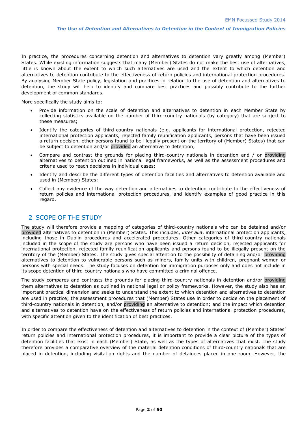In practice, the procedures concerning detention and alternatives to detention vary greatly among (Member) States. While existing information suggests that many (Member) States do not make the best use of alternatives, little is known about the extent to which such alternatives are used and the extent to which detention and alternatives to detention contribute to the effectiveness of return policies and international protection procedures. By analysing Member State policy, legislation and practices in relation to the use of detention and alternatives to detention, the study will help to identify and compare best practices and possibly contribute to the further development of common standards.

More specifically the study aims to:

- Provide information on the scale of detention and alternatives to detention in each Member State by collecting statistics available on the number of third-country nationals (by category) that are subject to these measures;
- Identify the categories of third-country nationals (e.g. applicants for international protection, rejected international protection applicants, rejected family reunification applicants, persons that have been issued a return decision, other persons found to be illegally present on the territory of (Member) States) that can be subject to detention and/or provided an alternative to detention;
- Compare and contrast the grounds for placing third-country nationals in detention and / or providing alternatives to detention outlined in national legal frameworks, as well as the assessment procedures and criteria used to reach decisions in individual cases;
- Identify and describe the different types of detention facilities and alternatives to detention available and used in (Member) States;
- Collect any evidence of the way detention and alternatives to detention contribute to the effectiveness of return policies and international protection procedures, and identify examples of good practice in this regard.

# 2 SCOPE OF THE STUDY

The study will therefore provide a mapping of categories of third-country nationals who can be detained and/or provided alternatives to detention in (Member) States. This includes, *inter alia*, international protection applicants, including those in Dublin procedures and accelerated procedures. Other categories of third-country nationals included in the scope of the study are persons who have been issued a return decision, rejected applicants for international protection, rejected family reunification applicants and persons found to be illegally present on the territory of the (Member) States. The study gives special attention to the possibility of detaining and/or providing alternatives to detention to vulnerable persons such as minors, family units with children, pregnant women or persons with special needs. The study focuses on detention for immigration purposes only and does not include in its scope detention of third-country nationals who have committed a criminal offence.

The study compares and contrasts the grounds for placing third-country nationals in detention and/or providing them alternatives to detention as outlined in national legal or policy frameworks. However, the study also has an important practical dimension and seeks to understand the extent to which detention and alternatives to detention are used in practice; the assessment procedures that (Member) States use in order to decide on the placement of third-country nationals in detention, and/or providing an alternative to detention; and the impact which detention and alternatives to detention have on the effectiveness of return policies and international protection procedures, with specific attention given to the identification of best practices.

In order to compare the effectiveness of detention and alternatives to detention in the context of (Member) States' return policies and international protection procedures, it is important to provide a clear picture of the types of detention facilities that exist in each (Member) State, as well as the types of alternatives that exist. The study therefore provides a comparative overview of the material detention conditions of third-country nationals that are placed in detention, including visitation rights and the number of detainees placed in one room. However, the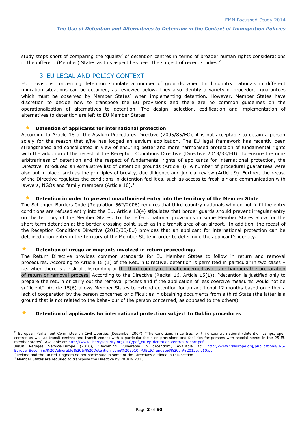study stops short of comparing the 'quality' of detention centres in terms of broader human rights considerations in the different (Member) States as this aspect has been the subject of recent studies. $2$ 

# 3 EU LEGAL AND POLICY CONTEXT

EU provisions concerning detention stipulate a number of grounds when third country nationals in different migration situations can be detained, as reviewed below. They also identify a variety of procedural guarantees which must be observed by Member States<sup>3</sup> when implementing detention. However, Member States have discretion to decide how to transpose the EU provisions and there are no common guidelines on the operationalization of alternatives to detention. The design, selection, codification and implementation of alternatives to detention are left to EU Member States.

#### **Detention of applicants for international protection**

According to Article 18 of the Asylum Procedures Directive (2005/85/EC), it is not acceptable to detain a person solely for the reason that s/he has lodged an asylum application. The EU legal framework has recently been strengthened and consolidated in view of ensuring better and more harmonised protection of fundamental rights with the adoption of the recast of the Reception Conditions Directive (Directive 2013/33/EU). To ensure the nonarbitrariness of detention and the respect of fundamental rights of applicants for international protection, the Directive introduced an exhaustive list of detention grounds (Article 8). A number of procedural guarantees were also put in place, such as the principles of brevity, due diligence and judicial review (Article 9). Further, the recast of the Directive regulates the conditions in detention facilities, such as access to fresh air and communication with lawyers, NGOs and family members (Article 10).<sup>4</sup>

#### **Detention in order to prevent unauthorised entry into the territory of the Member State**

The Schengen Borders Code (Regulation 562/2006) requires that third-country nationals who do not fulfil the entry conditions are refused entry into the EU. Article 13(4) stipulates that border guards should prevent irregular entry on the territory of the Member States. To that effect, national provisions in some Member States allow for the short-term detention at the border-crossing point, such as in a transit area of an airport. In addition, the recast of the Reception Conditions Directive (2013/33/EU) provides that an applicant for international protection can be detained upon entry in the territory of the Member State in order to determine the applicant's identity.

#### **Detention of irregular migrants involved in return proceedings**

The Return Directive provides common standards for EU Member States to follow in return and removal procedures. According to Article 15 (1) of the Return Directive, detention is permitted in particular in two cases – i.e. when there is a risk of absconding or the third-country national concerned avoids or hampers the preparation of return or removal process. According to the Directive (Recital 16, Article 15(1)), "detention is justified only to prepare the return or carry out the removal process and if the application of less coercive measures would not be sufficient". Article 15(6) allows Member States to extend detention for an additional 12 months based on either a lack of cooperation by the person concerned or difficulties in obtaining documents from a third State (the latter is a ground that is not related to the behaviour of the person concerned, as opposed to the others).

#### **Detention of applicants for international protection subject to Dublin procedures**

 $<sup>2</sup>$  European Parliament Committee on Civil Liberties (December 2007), "The conditions in centres for third country national (detention camps, open</sup> centres as well as transit centres and transit zones) with a particular focus on provisions and facilities for persons with special needs in the 25 EU member states", Available at: [http://www.libertysecurity.org/IMG/pdf\\_eu-ep-detention-centres-report.pdf](http://www.libertysecurity.org/IMG/pdf_eu-ep-detention-centres-report.pdf)

Jesuit Refugee Service-Europe (2010), "Becoming vulnerable in detention", Available at: http://www.jrseurope.org/publications/JRS-<br>Europe Becoming%20Vulnerable%20In%20Detention June%202010 PUBLIC updated%20on%2012July10.pd [Europe\\_Becoming%20Vulnerable%20In%20Detention\\_June%202010\\_PUBLIC\\_updated%20on%2012July10.pdf](http://www.jrseurope.org/publications/JRS-Europe_Becoming%20Vulnerable%20In%20Detention_June%202010_PUBLIC_updated%20on%2012July10.pdf)<br><sup>3</sup> Ireland and the United Kingdom do not participate in some of the Directives outlined in this section

<sup>4</sup> Member States are required to transpose the Directive by 20 July 2015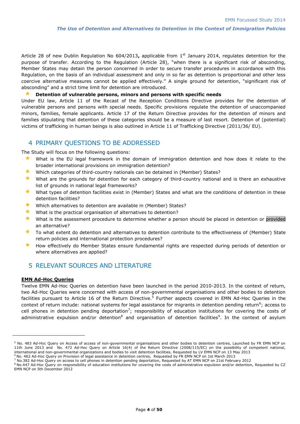Article 28 of new Dublin Regulation No 604/2013**,** applicable from 1st January 2014, regulates detention for the purpose of transfer. According to the Regulation (Article 28), "when there is a significant risk of absconding, Member States may detain the person concerned in order to secure transfer procedures in accordance with this Regulation, on the basis of an individual assessment and only in so far as detention is proportional and other less coercive alternative measures cannot be applied effectively." A single ground for detention, "significant risk of absconding" and a strict time limit for detention are introduced.

#### **Detention of vulnerable persons, minors and persons with specific needs**

Under EU law, Article 11 of the Recast of the Reception Conditions Directive provides for the detention of vulnerable persons and persons with special needs. Specific provisions regulate the detention of unaccompanied minors, families, female applicants. Article 17 of the Return Directive provides for the detention of minors and families stipulating that detention of these categories should be a measure of last resort. Detention of (potential) victims of trafficking in human beings is also outlined in Article 11 of Trafficking Directive (2011/36/ EU).

# 4 PRIMARY QUESTIONS TO BE ADDRESSED

The Study will focus on the following questions:

- What is the EU legal framework in the domain of immigration detention and how does it relate to the broader international provisions on immigration detention?
- Which categories of third-country nationals can be detained in (Member) States?
- What are the grounds for detention for each category of third-country national and is there an exhaustive list of grounds in national legal frameworks?
- **Notat the set of detention facilities exist in (Member) States and what are the conditions of detention in these** detention facilities?
- Which alternatives to detention are available in (Member) States?
- What is the practical organisation of alternatives to detention?
- What is the assessment procedure to determine whether a person should be placed in detention or provided an alternative?
- ★ To what extent do detention and alternatives to detention contribute to the effectiveness of (Member) State return policies and international protection procedures?
- How effectively do Member States ensure fundamental rights are respected during periods of detention or where alternatives are applied?

# 5 RELEVANT SOURCES AND LITERATURE

#### **EMN Ad-Hoc Queries**

-

Twelve EMN Ad-Hoc Queries on detention have been launched in the period 2010-2013. In the context of return, two Ad-Hoc Queries were concerned with access of non-governmental organisations and other bodies to detention facilities pursuant to Article 16 of the Return Directive.<sup>5</sup> Further aspects covered in EMN Ad-Hoc Queries in the context of return include: national systems for legal assistance for migrants in detention pending return<sup>6</sup>; access to cell phones in detention pending deportation<sup>7</sup>; responsibility of education institutions for covering the costs of administrative expulsion and/or detention<sup>8</sup> and organisation of detention facilities<sup>9</sup>. In the context of asylum

<sup>5</sup> No. 483 Ad-Hoc Query on Access of access of non-governmental organisations and other bodies to detention centres, Launched by FR EMN NCP on 11th June 2013 and No. 472 Ad-Hoc Query on Article 16(4) of the Return Directive (2008/115/EC) on the possibility of competent national, international and non-governmental organizations and bodies to visit detention facilities, Requested by LV EMN NCP on 13 May 2013

<sup>6</sup> No. 462 Ad-Hoc Query on Provision of legal assistance in detention centres, Requested by FR EMN NCP on 1st March 2013

<sup>7</sup> No.382 Ad-Hoc Query on access to cell phones in detention pending deportation, Requested by AT EMN NCP on 21st February 2012

<sup>8</sup> No.447 Ad-Hoc Query on responsibility of education institutions for covering the costs of administrative expulsion and/or detention, Requested by CZ EMN NCP on 5th December 2012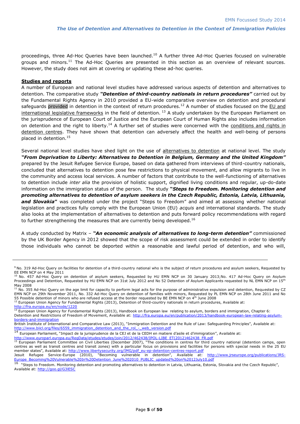proceedings, three Ad-Hoc Queries have been launched.<sup>10</sup> A further three Ad-Hoc Queries focused on vulnerable groups and minors.<sup>11</sup> The Ad-Hoc Queries are presented in this section as an overview of relevant sources. However, the study does not aim at covering or updating these ad-hoc queries.

#### **Studies and reports**

1

A number of European and national level studies have addressed various aspects of detention and alternatives to detention. The comparative study *"Detention of third-country nationals in return procedures"* carried out by the Fundamental Rights Agency in 2010 provided a EU-wide comparative overview on detention and procedural safeguards provided in detention in the context of return procedures.<sup>12</sup> A number of studies focused on the EU and international legislative frameworks in the field of detention.<sup>13</sup> A study undertaken by the European Parliament on the jurisprudence of European Court of Justice and the European Court of Human Rights also includes information on detention and the right to liberty.<sup>14</sup> A further set of studies were concerned with the conditions and rights in detention centres. They have shown that detention can adversely affect the health and well-being of persons placed in detention.<sup>15</sup>

Several national level studies have shed light on the use of alternatives to detention at national level. The study *"From Deprivation to Liberty: Alternatives to Detention in Belgium, Germany and the United Kingdom"* prepared by the Jesuit Refugee Service Europe, based on data gathered from interviews of third-country nationals, concluded that alternatives to detention pose few restrictions to physical movement, and allow migrants to live in the community and access local services. A number of factors that contribute to the well-functioning of alternatives to detention include *inter alia* the provision of holistic support, dignified living conditions and regular, up-do-date information on the immigration status of the person. The study **"***Steps to Freedom. Monitoring detention and promoting alternatives to detention of asylum seekers in the Czech Republic, Estonia, Latvia, Lithuania,*  **and Slovakia"** was completed under the project "Steps to Freedom" and aimed at assessing whether national legislation and practices fully comply with the European Union (EU) *acquis* and international standards. The study also looks at the implementation of alternatives to detention and puts forward policy recommendations with regard to further strengthening the measures that are currently being developed.<sup>16</sup>

A study conducted by Matrix – *"An economic analysis of alternatives to long-term detention"* commissioned by the UK Border Agency in 2012 showed that the scope of risk assessment could be extended in order to identify those individuals who cannot be deported within a reasonable and lawful period of detention, and who will,

 $12$  European Union Agency for Fundamental Rights (2013), Detention of third-country nationals in return procedures, Available at:

<http://fra.europa.eu/en/node/1220><br><sup>13</sup> European Union Agency for Fundamental Rights (2013), Handbook on European law relating to asylum, borders and immigration, Chapter 6: Detention and Restrictions of Freedom of Movement, Available at: [http://fra.europa.eu/en/publication/2013/handbook-european-law-relating-asylum](http://fra.europa.eu/en/publication/2013/handbook-european-law-relating-asylum-borders-and-immigration)[borders-and-immigration](http://fra.europa.eu/en/publication/2013/handbook-european-law-relating-asylum-borders-and-immigration)

British Institute of International and Comparative Law (2013), "Immigration Detention and the Rule of Law: Safeguarding Principles", Available at: [http://www.biicl.org/files/6559\\_immigration\\_detention\\_and\\_the\\_rol\\_-\\_web\\_version.pdf](http://www.biicl.org/files/6559_immigration_detention_and_the_rol_-_web_version.pdf)<br>14\_European Deliament\_"Impact de la jurispeudence de la CEL et de la CENH en matiera

<sup>14</sup> European Parliament, "Impact de la jurisprudence de la CEJ et de la CEDH en matiere d'asile et d'immigration", Available at:

[http://www.europarl.europa.eu/RegData/etudes/etudes/join/2012/462438/IPOL-LIBE\\_ET\(2012\)462438\\_FR.pdf](http://www.europarl.europa.eu/RegData/etudes/etudes/join/2012/462438/IPOL-LIBE_ET(2012)462438_FR.pdf)<br>15\_European\_Rediament\_Ceremittee\_et\_Chill Ultertius (Democratic Transmittee)

<sup>&</sup>lt;sup>9</sup> No. 319 Ad-Hoc Query on facilities for detention of a third-country national who is the subject of return procedures and asylum seekers, Requested by

EE EMN NCP on 4 May 2011<br><sup>10</sup> No. 457 Ad-Hoc Query on detention of asylum seekers, Requested by HU EMN NCP on 30 January 2013;No. 417 Ad-Hoc Query on Asylum Proceedings and Detention, Requested by HU EMN NCP on 31st July 2012 and No 52 Detention of Asylum Applicants requested by NL EMN NCP on 15<sup>th</sup> May 2008

<sup>&</sup>lt;sup>11</sup> No. 355 Ad-Hoc Query on the age limit for capacity to perform legal acts for the purpose of administrative expulsion and detention, Requested by CZ EMN NCP on 29th November 2011, No. 332 Ad-Hoc Query on detention of families with minors, Requested by PL EMN NCP on 28th June 2011 and No 55 Possible detention of minors who are refused access at the border requested by BE EMN NCP on 4th June 2008

<sup>15</sup> European Parliament Committee on Civil Liberties (December 2007), "The conditions in centres for third country national (detention camps, open centres as well as transit centres and transit zones) with a particular focus on provisions and facilities for persons with special needs in the 25 EU member states", Available at: [http://www.libertysecurity.org/IMG/pdf\\_eu-ep-detention-centres-report.pdf](http://www.libertysecurity.org/IMG/pdf_eu-ep-detention-centres-report.pdf)<br>Jesuit Refugee Service-Europe (2010), "Becoming vulnerable in detention", Available at: http://www.jrseurope.org/publi

Jesuit Refugee Service-Europe (2010), "Becoming vulnerable in detention", Available at: [http://www.jrseurope.org/publications/JRS-](http://www.jrseurope.org/publications/JRS-Europe_Becoming%20Vulnerable%20In%20Detention_June%202010_PUBLIC_updated%20on%2012July10.pdf)[Europe\\_Becoming%20Vulnerable%20In%20Detention\\_June%202010\\_PUBLIC\\_updated%20on%2012July10.pdf](http://www.jrseurope.org/publications/JRS-Europe_Becoming%20Vulnerable%20In%20Detention_June%202010_PUBLIC_updated%20on%2012July10.pdf)  $\frac{1}{16}$ 

"Steps to Freedom. Monitoring detention and promoting alternatives to detention in Latvia, Lithuania, Estonia, Slovakia and the Czech Republic", Available at: <http://goo.gl/G3lESC>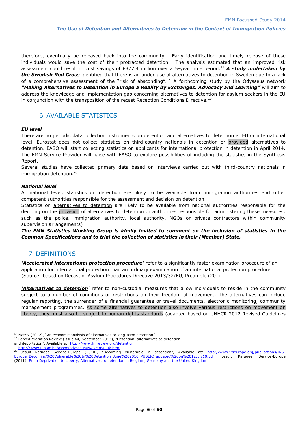therefore, eventually be released back into the community. Early identification and timely release of these individuals would save the cost of their protracted detention. The analysis estimated that an improved risk assessment could result in cost savings of £377.4 million over a 5-year time period.<sup>17</sup> *A study undertaken by the Swedish Red Cross* identified that there is an under-use of alternatives to detention in Sweden due to a lack of a comprehensive assessment of the "risk of absconding".<sup>18</sup> A forthcoming study by the Odysseus network *"Making Alternatives to Detention in Europe a Reality by Exchanges, Advocacy and Learning"* will aim to address the knowledge and implementation gap concerning alternatives to detention for asylum seekers in the EU in conjunction with the transposition of the recast Reception Conditions Directive.<sup>19</sup>

# 6 AVAILABLE STATISTICS

#### *EU level*

There are no periodic data collection instruments on detention and alternatives to detention at EU or international level. Eurostat does not collect statistics on third-country nationals in detention or provided alternatives to detention. EASO will start collecting statistics on applicants for international protection in detention in April 2014. The EMN Service Provider will liaise with EASO to explore possibilities of including the statistics in the Synthesis Report.

Several studies have collected primary data based on interviews carried out with third-country nationals in immigration detention.<sup>20</sup>

#### *National level*

At national level, statistics on detention are likely to be available from immigration authorities and other competent authorities responsible for the assessment and decision on detention.

Statistics on alternatives to detention are likely to be available from national authorities responsible for the deciding on the provision of alternatives to detention or authorities responsible for administering these measures: such as the police, immigration authority, local authority, NGOs or private contractors within community supervision arrangements)

*The EMN Statistics Working Group is kindly invited to comment on the inclusion of statistics in the Common Specifications and to trial the collection of statistics in their (Member) State.*

## 7 DEFINITIONS

-

*'Accelerated international protection procedure'* refer to a significantly faster examination procedure of an application for international protection than an ordinary examination of an international protection procedure (Source: based on Recast of Asylum Procedures Directive 2013/32/EU, Preamble (20))

*'Alternatives to detention'* refer to non-custodial measures that allow individuals to reside in the community subject to a number of conditions or restrictions on their freedom of movement. The alternatives can include regular reporting, the surrender of a financial guarantee or travel documents, electronic monitoring, community management programmes. As some alternatives to detention also involve various restrictions on movement on liberty, they must also be subject to human rights standards (adapted based on UNHCR 2012 Revised Guidelines

 $17$  Matrix (2012), "An economic analysis of alternatives to long-term detention"

<sup>&</sup>lt;sup>18</sup> Forced Migration Review (issue 44, September 2013), "Detention, alternatives to detention

and deportation", Available at: <http://www.fmreview.org/detention>

<sup>&</sup>lt;sup>19</sup> <http://www.ulb.ac.be/assoc/odysseus/MADEREALuk.html><br><sup>20</sup> locuit, Refugee, Service Furence (2010), "Becoming <sup>20</sup> Jesuit Refugee Service-Europe (2010), "Becoming vulnerable in detention", Available at: [http://www.jrseurope.org/publications/JRS-](http://www.jrseurope.org/publications/JRS-Europe_Becoming%20Vulnerable%20In%20Detention_June%202010_PUBLIC_updated%20on%2012July10.pdf)[Europe\\_Becoming%20Vulnerable%20In%20Detention\\_June%202010\\_PUBLIC\\_updated%20on%2012July10.pdf;](http://www.jrseurope.org/publications/JRS-Europe_Becoming%20Vulnerable%20In%20Detention_June%202010_PUBLIC_updated%20on%2012July10.pdf) Jesuit Refugee Service-Europe (2011), From Deprivation to Liberty, Alternatives to detention in Belgium, Germany and the United Kingdom,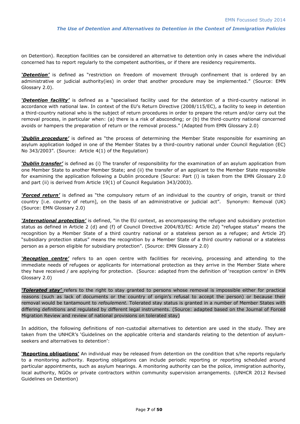on Detention). Reception facilities can be considered an alternative to detention only in cases where the individual concerned has to report regularly to the competent authorities, or if there are residency requirements.

*'Detention'* is defined as "restriction on freedom of movement through confinement that is ordered by an administrative or judicial authority(ies) in order that another procedure may be implemented." (Source: EMN Glossary 2.0).

*'Detention facility'* is defined as a "specialised facility used for the detention of a third-country national in accordance with national law. In context of the EU's Return Directive (2008/115/EC), a facility to keep in detention a third-country national who is the subject of return procedures in order to prepare the return and/or carry out the removal process, in particular when: (a) there is a risk of absconding; or (b) the third-country national concerned avoids or hampers the preparation of return or the removal process." (Adapted from EMN Glossary 2.0)

*'Dublin procedure'* is defined as "the process of determining the Member State responsible for examining an asylum application lodged in one of the Member States by a third-country national under Council Regulation (EC) No 343/2003". (Source: Article 4(1) of the Regulation)

*'Dublin transfer'* is defined as (i) The transfer of responsibility for the [examination of an asylum application](http://emn.intrasoft-intl.com/Glossary/viewTermByName.do?name=Asylum%20application%20%28Examination%20of%20an%29) from one Member State to another Member State; and (ii) the transfer of an applicant to the Member State responsible for examining the application following a Dublin procedure (Source: Part (i) is taken from the EMN Glossary 2.0 and part (ii) is derived from Article 19(1) of Council Regulation 343/2003).

*'Forced return'* is defined as "the compulsory return of an individual to the country of origin, transit or third country [i.e. country of return], on the basis of an administrative or judicial act". Synonym: Removal (UK) (Source: EMN Glossary 2.0)

*'International protection'* is defined, "in the EU context, as encompassing the refugee and subsidiary protection status as defined in Article 2 (d) and (f) of Council Directive 2004/83/EC: Article 2d) "refugee status" means the recognition by a Member State of a third country national or a stateless person as a refugee; and Article 2f) "subsidiary protection status" means the recognition by a Member State of a third country national or a stateless person as a person eligible for subsidiary protection". (Source: EMN Glossary 2.0)

*'Reception centre'* refers to an open centre with facilities for receiving, processing and attending to the immediate needs of refugees or applicants for international protection as they arrive in the Member State where they have received / are applying for protection. (Source: adapted from the definition of 'reception centre' in EMN Glossary 2.0)

*'Tolerated stay'* refers to the right to stay granted to persons whose removal is impossible either for practical reasons (such as lack of documents or the country of origin's refusal to accept the person) or because their removal would be tantamount to *refoulement.* Tolerated stay status is granted in a number of Member States with differing definitions and regulated by different legal instruments. (Source: adapted based on the Journal of Forced Migration Review and review of national provisions on tolerated stay)

In addition, the following definitions of non-custodial alternatives to detention are used in the study. They are taken from the UNHCR's 'Guidelines on the applicable criteria and standards relating to the detention of asylumseekers and alternatives to detention':

**'Reporting obligations'** An individual may be released from detention on the condition that s/he reports regularly to a monitoring authority. Reporting obligations can include periodic reporting or reporting scheduled around particular appointments, such as asylum hearings. A monitoring authority can be the police, immigration authority, local authority, NGOs or private contractors within community supervision arrangements. (UNHCR 2012 Revised Guidelines on Detention)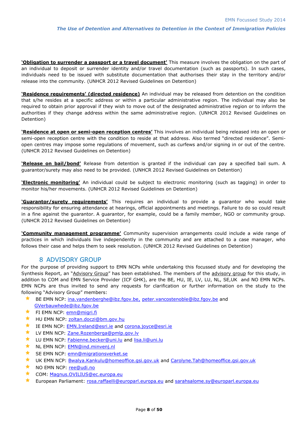**'Obligation to surrender a passport or a travel document'** This measure involves the obligation on the part of an individual to deposit or surrender identity and/or travel documentation (such as passports). In such cases, individuals need to be issued with substitute documentation that authorises their stay in the territory and/or release into the community. (UNHCR 2012 Revised Guidelines on Detention)

**'Residence requirements' (directed residence)** An individual may be released from detention on the condition that s/he resides at a specific address or within a particular administrative region. The individual may also be required to obtain prior approval if they wish to move out of the designated administrative region or to inform the authorities if they change address within the same administrative region. (UNHCR 2012 Revised Guidelines on Detention)

**'Residence at open or semi-open reception centres'** This involves an individual being released into an open or semi-open reception centre with the condition to reside at that address. Also termed "directed residence". Semiopen centres may impose some regulations of movement, such as curfews and/or signing in or out of the centre. (UNHCR 2012 Revised Guidelines on Detention)

**'Release on bail/bond'** Release from detention is granted if the individual can pay a specified bail sum. A guarantor/surety may also need to be provided. (UNHCR 2012 Revised Guidelines on Detention)

**'Electronic monitoring'** An individual could be subject to electronic monitoring (such as tagging) in order to monitor his/her movements. (UNHCR 2012 Revised Guidelines on Detention)

**'Guarantor/surety requirements'** This requires an individual to provide a guarantor who would take responsibility for ensuring attendance at hearings, official appointments and meetings. Failure to do so could result in a fine against the guarantor. A guarantor, for example, could be a family member, NGO or community group. (UNHCR 2012 Revised Guidelines on Detention)

**'Community management programme'** Community supervision arrangements could include a wide range of practices in which individuals live independently in the community and are attached to a case manager, who follows their case and helps them to seek resolution. (UNHCR 2012 Revised Guidelines on Detention)

#### 8 ADVISORY GROUP

For the purpose of providing support to EMN NCPs while undertaking this focussed study and for developing the Synthesis Report, an "Advisory Group" has been established. The members of the advisory group for this study, in addition to COM and EMN Service Provider (ICF GHK), are the BE, HU, IE, LV, LU, NL, SE,UK and NO EMN NCPs. EMN NCPs are thus invited to send any requests for clarification or further information on the study to the following "Advisory Group" members:

- BE EMN NCP: ina.vandenberghe@ibz.fgov.be, [peter.vancostenoble@ibz.fgov.be](mailto:peter.vancostenoble@ibz.fgov.be) and [GVerbauwhede@ibz.fgov.be](mailto:GVerbauwhede@ibz.fgov.be)
- $\star$  FI EMN NCP: [emn@migri.fi](mailto:emn@migri.fi)
- ★ HU EMN NCP: [zoltan.doczi@bm.gov.hu](mailto:zoltan.doczi@bm.gov.hu)
- **THE FAN NCP:** [EMN.Ireland@esri.ie](mailto:EMN.Ireland@esri.ie) and [corona.joyce@esri.ie](mailto:corona.joyce@esri.ie)
- **LV EMN NCP:** [Zane.Rozenberga@pmlp.gov.lv](mailto:Zane.Rozenberga@pmlp.gov.lv)
- ★ LU EMN NCP: [Fabienne.becker@uni.lu](mailto:Fabienne.becker@uni.lu) and [lisa.li@uni.lu](mailto:lisa.li@uni.lu)
- NL EMN NCP: [EMN@ind.minvenj.nl](mailto:EMN@ind.minvenj.nl)
- SE EMN NCP: [emn@migrationsverket.se](mailto:emn@migrationsverket.se)
- ★ UK EMN NCP: **Bwalya.Kankulu@homeoffice.gsi.gov.uk** and [Carolyne.Tah@homeoffice.gsi.gov.uk](mailto:Carolyne.Tah@homeoffice.gsi.gov.uk)
- NO EMN NCP: [ree@udi.no](mailto:ree@udi.no)
- ★ COM: [Magnus.OVILIUS@ec.europa.eu](mailto:Magnus.OVILIUS@ec.europa.eu)
- **European Parliament:** [rosa.raffaelli@europarl.europa.eu](mailto:rosa.raffaelli@europarl.europa.eu) and [sarahsalome.sy@europarl.europa.eu](mailto:sarahsalome.sy@europarl.europa.eu)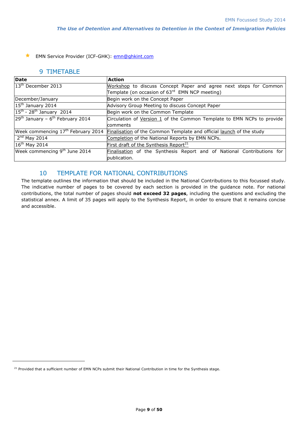**K** EMN Service Provider (ICF-GHK): **emn@ghkint.com** 

#### 9 TIMETABLE

-

| Date                                           | <b>Action</b>                                                          |  |  |  |  |  |
|------------------------------------------------|------------------------------------------------------------------------|--|--|--|--|--|
| $13th$ December 2013                           | Workshop to discuss Concept Paper and agree next steps for Common      |  |  |  |  |  |
|                                                | Template (on occasion of 63 <sup>rd</sup> EMN NCP meeting)             |  |  |  |  |  |
| December/January                               | Begin work on the Concept Paper                                        |  |  |  |  |  |
| 15 <sup>th</sup> January 2014                  | Advisory Group Meeting to discuss Concept Paper                        |  |  |  |  |  |
| $15th$ - 28 <sup>th</sup> January 2014         | Begin work on the Common Template                                      |  |  |  |  |  |
| $29th$ January – 6 <sup>th</sup> February 2014 | Circulation of Version 1 of the Common Template to EMN NCPs to provide |  |  |  |  |  |
|                                                | comments                                                               |  |  |  |  |  |
| Week commencing 17 <sup>th</sup> February 2014 | Finalisation of the Common Template and official launch of the study   |  |  |  |  |  |
| $2nd$ May 2014                                 | Completion of the National Reports by EMN NCPs.                        |  |  |  |  |  |
| $16th$ May 2014                                | First draft of the Synthesis Report <sup>21</sup>                      |  |  |  |  |  |
| Week commencing 9 <sup>th</sup> June 2014      | Finalisation of the Synthesis Report and of National Contributions for |  |  |  |  |  |
|                                                | publication.                                                           |  |  |  |  |  |

# 10 TEMPLATE FOR NATIONAL CONTRIBUTIONS

The template outlines the information that should be included in the National Contributions to this focussed study. The indicative number of pages to be covered by each section is provided in the guidance note. For national contributions, the total number of pages should **not exceed 32 pages**, including the questions and excluding the statistical annex. A limit of 35 pages will apply to the Synthesis Report, in order to ensure that it remains concise and accessible.

<sup>&</sup>lt;sup>21</sup> Provided that a sufficient number of EMN NCPs submit their National Contribution in time for the Synthesis stage.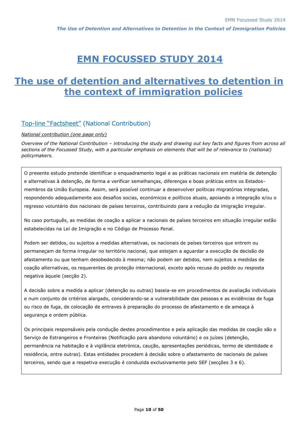# **EMN FOCUSSED STUDY 2014**

# **The use of detention and alternatives to detention in the context of immigration policies**

# Top-line "Factsheet" (National Contribution)

#### *National contribution (one page only)*

*Overview of the National Contribution – introducing the study and drawing out key facts and figures from across all sections of the Focussed Study, with a particular emphasis on elements that will be of relevance to (national) policymakers.*

O presente estudo pretende identificar o enquadramento legal e as práticas nacionais em matéria de detenção e alternativas à detenção, de forma a verificar semelhanças, diferenças e boas práticas entre os Estadosmembros da União Europeia. Assim, será possível continuar a desenvolver políticas migratórias integradas, respondendo adequadamente aos desafios socias, económicos e políticos atuais, apoiando a integração e/ou o regresso voluntário dos nacionais de países terceiros, contribuindo para a redução da imigração irregular.

No caso português, as medidas de coação a aplicar a nacionais de países terceiros em situação irregular estão estabelecidas na Lei de Imigração e no Código de Processo Penal.

Podem ser detidos, ou sujeitos a medidas alternativas, os nacionais de países terceiros que entrem ou permaneçam de forma irregular no território nacional, que estejam a aguardar a execução de decisão de afastamento ou que tenham desobedecido à mesma; não podem ser detidos, nem sujeitos a medidas de coação alternativas, os requerentes de proteção internacional, exceto após recusa do pedido ou resposta negativa àquele (secção 2).

A decisão sobre a medida a aplicar (detenção ou outras) baseia-se em procedimentos de avaliação individuais e num conjunto de critérios alargado, considerando-se a vulnerabilidade das pessoas e as evidências de fuga ou risco de fuga, de colocação de entraves à preparação do processo de afastamento e de ameaça à segurança e ordem pública.

Os principais responsáveis pela condução destes procedimentos e pela aplicação das medidas de coação são o Serviço de Estrangeiros e Fronteiras (Notificação para abandono voluntário) e os juízes (detenção, permanência na habitação e à vigilância eletrónica, caução, apresentações periódicas, termo de identidade e residência, entre outras). Estas entidades procedem à decisão sobre o afastamento de nacionais de países terceiros, sendo que a respetiva execução é conduzida exclusivamente pelo SEF (secções 3 e 6).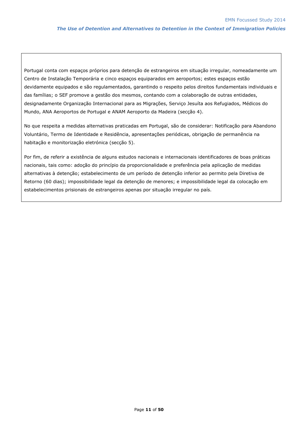Portugal conta com espaços próprios para detenção de estrangeiros em situação irregular, nomeadamente um Centro de Instalação Temporária e cinco espaços equiparados em aeroportos; estes espaços estão devidamente equipados e são regulamentados, garantindo o respeito pelos direitos fundamentais individuais e das famílias; o SEF promove a gestão dos mesmos, contando com a colaboração de outras entidades, designadamente Organização Internacional para as Migrações, Serviço Jesuíta aos Refugiados, Médicos do Mundo, ANA Aeroportos de Portugal e ANAM Aeroporto da Madeira (secção 4).

No que respeita a medidas alternativas praticadas em Portugal, são de considerar: Notificação para Abandono Voluntário, Termo de Identidade e Residência, apresentações periódicas, obrigação de permanência na habitação e monitorização eletrónica (secção 5).

Por fim, de referir a existência de alguns estudos nacionais e internacionais identificadores de boas práticas nacionais, tais como: adoção do princípio da proporcionalidade e preferência pela aplicação de medidas alternativas à detenção; estabelecimento de um período de detenção inferior ao permito pela Diretiva de Retorno (60 dias); impossibilidade legal da detenção de menores; e impossibilidade legal da colocação em estabelecimentos prisionais de estrangeiros apenas por situação irregular no país.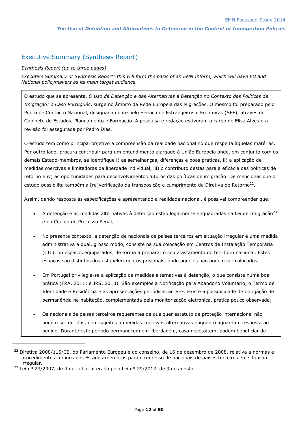# Executive Summary (Synthesis Report)

#### *Synthesis Report (up to three pages)*

*Executive Summary of Synthesis Report: this will form the basis of an EMN Inform, which will have EU and National policymakers as its main target audience.* 

O estudo que se apresenta, *O Uso da Detenção e das Alternativas à Detenção no Contexto das Políticas de Imigração: o Caso Português*, surge no âmbito da Rede Europeia das Migrações. O mesmo foi preparado pelo Ponto de Contacto Nacional, designadamente pelo Serviço de Estrangeiros e Fronteiras (SEF), através do Gabinete de Estudos, Planeamento e Formação. A pesquisa e redação estiveram a cargo de Elisa Alves e a revisão foi assegurada por Pedro Dias.

O estudo tem como principal objetivo a compreensão da realidade nacional no que respeita àquelas matérias. Por outro lado, procura contribuir para um entendimento alargado à União Europeia onde, em conjunto com os demais Estado-membros, se identifique i) as semelhanças, diferenças e boas práticas, ii) a aplicação de medidas coercivas e limitadoras da liberdade individual, iii) o contributo destas para a eficácia das políticas de retorno e iv) as oportunidades para desenvolvimentos futuros das políticas de imigração. De mencionar que o estudo possibilita também a [re]verificação da transposição e cumprimento da Diretiva de Retorno<sup>22</sup>.

Assim, dando resposta às especificações e apresentando a realidade nacional, é possível compreender que:

- A detenção e as medidas alternativas à detenção estão legalmente enquadradas na Lei de Imigração<sup>23</sup> e no Código de Processo Penal;
- No presente contexto, a detenção de nacionais de países terceiros em situação irregular é uma medida administrativa a qual, grosso modo, consiste na sua colocação em Centros de Instalação Temporária (CIT), ou espaços equiparados, de forma a preparar o seu afastamento do território nacional. Estes espaços são distintos dos estabelecimentos prisionais, onde aqueles não podem ser colocados;
- Em Portugal privilegia-se a aplicação de medidas alternativas à detenção, o que consiste numa boa prática (FRA, 2011; e JRS, 2010). São exemplos a Notificação para Abandono Voluntário, o Termo de Identidade e Residência e as apresentações periódicas ao SEF. Existe a possibilidade de obrigação de permanência na habitação, complementada pela monitorização eletrónica, prática pouco observada;
- Os nacionais de países terceiros requerentes de qualquer estatuto de proteção internacional não podem ser detidos, nem sujeitos a medidas coercivas alternativas enquanto aguardam resposta ao pedido. Durante este período permanecem em liberdade e, caso necessitem, podem beneficiar de

l

<sup>&</sup>lt;sup>22</sup> Diretiva 2008/115/CE, do Parlamento Europeu e do conselho, de 16 de dezembro de 2008, relativa a normas e procedimentos comuns nos Estados-membros para o regresso de nacionais de países terceiros em situação irregular.

 $^{23}$  Lei nº 23/2007, de 4 de julho, alterada pela Lei nº 29/2012, de 9 de agosto.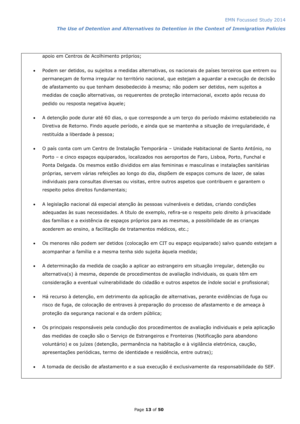apoio em Centros de Acolhimento próprios;

- Podem ser detidos, ou sujeitos a medidas alternativas, os nacionais de países terceiros que entrem ou permaneçam de forma irregular no território nacional, que estejam a aguardar a execução de decisão de afastamento ou que tenham desobedecido à mesma; não podem ser detidos, nem sujeitos a medidas de coação alternativas, os requerentes de proteção internacional, exceto após recusa do pedido ou resposta negativa àquele;
- A detenção pode durar até 60 dias, o que corresponde a um terço do período máximo estabelecido na Diretiva de Retorno. Findo aquele período, e ainda que se mantenha a situação de irregularidade, é restituída a liberdade à pessoa;
- O país conta com um Centro de Instalação Temporária Unidade Habitacional de Santo António, no Porto – e cinco espaços equiparados, localizados nos aeroportos de Faro, Lisboa, Porto, Funchal e Ponta Delgada. Os mesmos estão divididos em alas femininas e masculinas e instalações sanitárias próprias, servem várias refeições ao longo do dia, dispõem de espaços comuns de lazer, de salas individuais para consultas diversas ou visitas, entre outros aspetos que contribuem e garantem o respeito pelos direitos fundamentais;
- A legislação nacional dá especial atenção às pessoas vulneráveis e detidas, criando condições adequadas às suas necessidades. A título de exemplo, refira-se o respeito pelo direito à privacidade das famílias e a existência de espaços próprios para as mesmas, a possibilidade de as crianças acederem ao ensino, a facilitação de tratamentos médicos, etc.;
- Os menores não podem ser detidos (colocação em CIT ou espaço equiparado) salvo quando estejam a acompanhar a família e a mesma tenha sido sujeita àquela medida;
- A determinação da medida de coação a aplicar ao estrangeiro em situação irregular, detenção ou alternativa(s) à mesma, depende de procedimentos de avaliação individuais, os quais têm em consideração a eventual vulnerabilidade do cidadão e outros aspetos de índole social e profissional;
- Há recurso à detenção, em detrimento da aplicação de alternativas, perante evidências de fuga ou risco de fuga, de colocação de entraves à preparação do processo de afastamento e de ameaça à proteção da segurança nacional e da ordem pública;
- Os principais responsáveis pela condução dos procedimentos de avaliação individuais e pela aplicação das medidas de coação são o Serviço de Estrangeiros e Fronteiras (Notificação para abandono voluntário) e os juízes (detenção, permanência na habitação e à vigilância eletrónica, caução, apresentações periódicas, termo de identidade e residência, entre outras);
- A tomada de decisão de afastamento e a sua execução é exclusivamente da responsabilidade do SEF.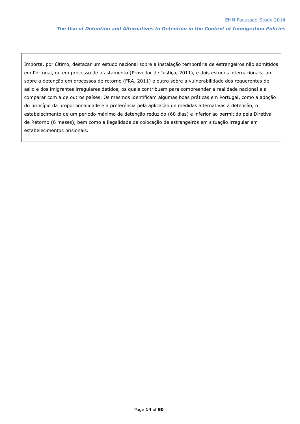Importa, por último, destacar um estudo nacional sobre a instalação temporária de estrangeiros não admitidos em Portugal, ou em processo de afastamento (Provedor de Justiça, 2011), e dois estudos internacionais, um sobre a detenção em processos de retorno (FRA, 2011) e outro sobre a vulnerabilidade dos requerentes de asilo e dos imigrantes irregulares detidos, os quais contribuem para compreender a realidade nacional e a comparar com a de outros países. Os mesmos identificam algumas boas práticas em Portugal, como a adoção do princípio da proporcionalidade e a preferência pela aplicação de medidas alternativas à detenção, o estabelecimento de um período máximo de detenção reduzido (60 dias) e inferior ao permitido pela Diretiva de Retorno (6 meses), bem como a ilegalidade da colocação de estrangeiros em situação irregular em estabelecimentos prisionais.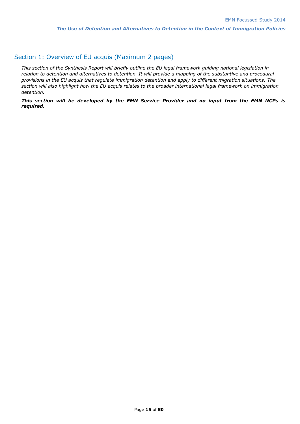# Section 1: Overview of EU acquis (Maximum 2 pages)

*This section of the Synthesis Report will briefly outline the EU legal framework guiding national legislation in relation to detention and alternatives to detention. It will provide a mapping of the substantive and procedural provisions in the EU acquis that regulate immigration detention and apply to different migration situations. The section will also highlight how the EU acquis relates to the broader international legal framework on immigration detention.*

*This section will be developed by the EMN Service Provider and no input from the EMN NCPs is required.*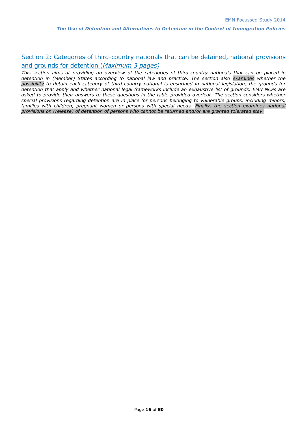# Section 2: Categories of third-country nationals that can be detained, national provisions and grounds for detention (*Maximum 3 pages)*

*This section aims at providing an overview of the categories of third-country nationals that can be placed in detention in (Member) States according to national law and practice. The section also examines whether the possibility to detain each category of third-country national is enshrined in national legislation, the grounds for detention that apply and whether national legal frameworks include an exhaustive list of grounds. EMN NCPs are asked to provide their answers to these questions in the table provided overleaf. The section considers whether special provisions regarding detention are in place for persons belonging to vulnerable groups, including minors, families with children, pregnant women or persons with special needs. Finally, the section examines national provisions on (release) of detention of persons who cannot be returned and/or are granted tolerated stay.*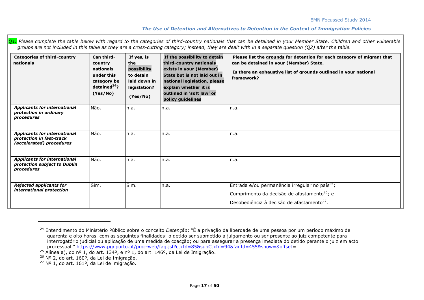| <b>Categories of third-country</b><br>nationals                                             | Can third-<br>country<br>nationals<br>under this<br>category be<br>detained $^{24}$ ?<br>(Yes/No) | If yes, is<br>the<br>possibility<br>to detain<br>laid down in<br>legislation?<br>(Yes/No) | If the possibility to detain<br>third-country nationals<br>exists in your (Member)<br>State but is not laid out in<br>national legislation, please<br>explain whether it is<br>outlined in 'soft law' or<br>policy guidelines | Please list the grounds for detention for each category of migrant that<br>can be detained in your (Member) State.<br>Is there an exhaustive list of grounds outlined in your national<br>framework? |
|---------------------------------------------------------------------------------------------|---------------------------------------------------------------------------------------------------|-------------------------------------------------------------------------------------------|-------------------------------------------------------------------------------------------------------------------------------------------------------------------------------------------------------------------------------|------------------------------------------------------------------------------------------------------------------------------------------------------------------------------------------------------|
| <b>Applicants for international</b><br>protection in ordinary<br>procedures                 | Não.                                                                                              | n.a.                                                                                      | n.a.                                                                                                                                                                                                                          | n.a.                                                                                                                                                                                                 |
| <b>Applicants for international</b><br>protection in fast-track<br>(accelerated) procedures | Não.                                                                                              | n.a.                                                                                      | n.a.                                                                                                                                                                                                                          | n.a.                                                                                                                                                                                                 |
| <b>Applicants for international</b><br>protection subject to Dublin<br>procedures           | Não.                                                                                              | n.a.                                                                                      | n.a.                                                                                                                                                                                                                          | n.a.                                                                                                                                                                                                 |
| <b>Rejected applicants for</b><br>international protection                                  | Sim.                                                                                              | Sim.                                                                                      | n.a.                                                                                                                                                                                                                          | Entrada e/ou permanência irregular no país <sup>25</sup> ;<br>Cumprimento da decisão de afastamento <sup>26</sup> ; e<br>Desobediência à decisão de afastamento <sup>27</sup> .                      |

*Q1. Please complete the table below with regard to the categories of third-country nationals that can be detained in your Member State. Children and other vulnerable groups are not included in this table as they are a cross-cutting category; instead, they are dealt with in a separate question (Q2) after the table.*

<sup>24</sup> Entendimento do Ministério Público sobre o conceito *Detenção*: "É a privação da liberdade de uma pessoa por um período máximo de quarenta e oito horas, com as seguintes finalidades: o detido ser submetido a julgamento ou ser presente ao juiz competente para interrogatório judicial ou aplicação de uma medida de coacção; ou para assegurar a presença imediata do detido perante o juiz em acto processual." [https://www.pgdporto.pt/proc-web/faq.jsf?ctxId=85&subCtxId=94&faqId=455&show=&offset=](https://www.pgdporto.pt/proc-web/faq.jsf?ctxId=85&subCtxId=94&faqId=455&show=&offset)

<sup>&</sup>lt;sup>25</sup> Alínea a), do nº 1, do art. 134º, e nº 1, do art. 146<sup>o</sup>, da Lei de Imigração.

<sup>&</sup>lt;sup>26</sup> Nº 2, do art. 160º, da Lei de Imigração.

 $27$  Nº 1, do art. 161<sup>o</sup>, da Lei de imigração.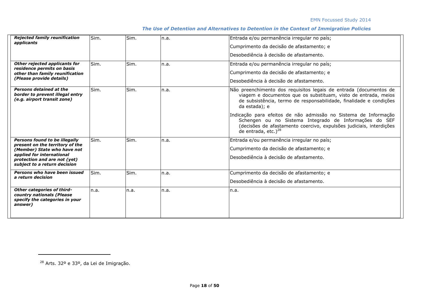| <b>Rejected family reunification</b><br>applicants                                                   | Sim. | Sim. | In.a. | Entrada e/ou permanência irregular no país;                                                                                                                                                                                   |  |  |
|------------------------------------------------------------------------------------------------------|------|------|-------|-------------------------------------------------------------------------------------------------------------------------------------------------------------------------------------------------------------------------------|--|--|
|                                                                                                      |      |      |       | Cumprimento da decisão de afastamento; e                                                                                                                                                                                      |  |  |
|                                                                                                      |      |      |       | Desobediência à decisão de afastamento.                                                                                                                                                                                       |  |  |
| Other rejected applicants for                                                                        | Sim. | Sim. | In.a. | Entrada e/ou permanência irregular no país;                                                                                                                                                                                   |  |  |
| residence permits on basis<br>other than family reunification                                        |      |      |       | Cumprimento da decisão de afastamento; e                                                                                                                                                                                      |  |  |
| (Please provide details)                                                                             |      |      |       | lDesobediência à decisão de afastamento.                                                                                                                                                                                      |  |  |
| Persons detained at the<br>border to prevent illegal entry<br>(e.g. airport transit zone)            | Sim. | Sim. | In.a. | Não preenchimento dos requisitos legais de entrada (documentos de<br>viagem e documentos que os substituam, visto de entrada, meios<br>de subsistência, termo de responsabilidade, finalidade e condições<br>da estada); e    |  |  |
|                                                                                                      |      |      |       | Indicação para efeitos de não admissão no Sistema de Informação<br>Schengen ou no Sistema Integrado de Informações do SEF<br>(decisões de afastamento coercivo, expulsões judiciais, interdições<br>de entrada, etc.) $^{28}$ |  |  |
| <b>Persons found to be illegally</b><br>present on the territory of the                              | Sim. | Sim. | In.a. | Entrada e/ou permanência irregular no país;                                                                                                                                                                                   |  |  |
| (Member) State who have not                                                                          |      |      |       | Cumprimento da decisão de afastamento; e                                                                                                                                                                                      |  |  |
| applied for international<br>protection and are not (yet)<br>subject to a return decision            |      |      |       | lDesobediência à decisão de afastamento.                                                                                                                                                                                      |  |  |
| Persons who have been issued<br>a return decision                                                    | Sim. | Sim. | In.a. | Cumprimento da decisão de afastamento; e                                                                                                                                                                                      |  |  |
|                                                                                                      |      |      |       | lDesobediência à decisão de afastamento.                                                                                                                                                                                      |  |  |
| Other categories of third-<br>country nationals (Please<br>specify the categories in your<br>answer) | n.a. | n.a. | In.a. | n.a.                                                                                                                                                                                                                          |  |  |

<sup>28</sup> Arts. 32º e 33º, da Lei de Imigração.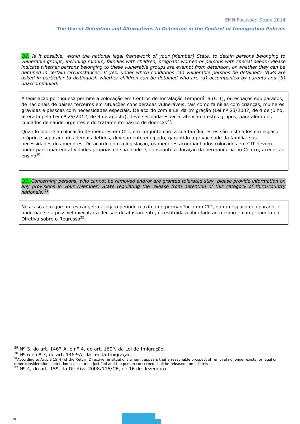*Q2. Is it possible, within the national legal framework of your (Member) State, to detain persons belonging to vulnerable groups, including minors, families with children, pregnant women or persons with special needs? Please indicate whether persons belonging to these vulnerable groups are exempt from detention, or whether they can be detained in certain circumstances. If yes, under which conditions can vulnerable persons be detained? NCPs are asked in particular to distinguish whether children can be detained who are (a) accompanied by parents and (b) unaccompanied.*

A legislação portuguesa permite a colocação em Centros de Instalação Temporária (CIT), ou espaços equiparados, de nacionais de países terceiros em situações consideradas vulneráveis, tais como famílias com crianças, mulheres grávidas e pessoas com necessidades especiais. De acordo com a Lei da Imigração (Lei nº 23/2007, de 4 de julho, alterada pela Lei nº 29/2012, de 9 de agosto), deve ser dada especial atenção a estes grupos, para além dos cuidados de saúde urgentes e do tratamento básico de doenças<sup>29</sup>.

Quando ocorre a colocação de menores em CIT, em conjunto com a sua família, estes são instalados em espaço próprio e separado dos demais detidos, devidamente equipado, garantido a privacidade da família e as necessidades dos menores. De acordo com a legislação, os menores acompanhados colocados em CIT devem poder participar em atividades próprias da sua idade e, consoante a duração da permanência no Centro, aceder ao ensino<sup>30</sup>.

*Q3. Concerning persons, who cannot be removed and/or are granted tolerated stay, please provide information on any provisions in your (Member) State regulating the release from detention of this category of third-country nationals. <sup>31</sup>*

Nos casos em que um estrangeiro atinja o período máximo de permanência em CIT, ou em espaço equiparado, e onde não seja possível executar a decisão de afastamento, é restituída a liberdade ao mesmo – cumprimento da Diretiva sobre o Regresso<sup>32</sup>.

 $29$  Nº 3, do art. 146º-A, e nº 4, do art. 160º, da Lei de Imigração.

<sup>30</sup> Nº 6 e nº 7, do art. 146º-A, da Lei da Imigração.

<sup>&</sup>lt;sup>31</sup>According to Article 15(4) of the Return Directive, in situations when it appears that a reasonable prospect of removal no longer exists for legal or other considerations detention ceases to be justified and the person concerned shall be released immediately.<br><sup>32</sup> Nº 4, do art. 15º, da Diretiva 2008/115/CE, de 16 de dezembro.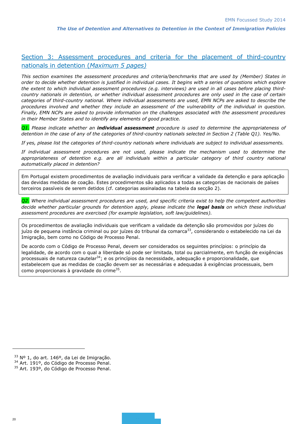# Section 3: Assessment procedures and criteria for the placement of third-country nationals in detention (*Maximum 5 pages)*

*This section examines the assessment procedures and criteria/benchmarks that are used by (Member) States in order to decide whether detention is justified in individual cases. It begins with a series of questions which explore the extent to which individual assessment procedures (e.g. interviews) are used in all cases before placing thirdcountry nationals in detention, or whether individual assessment procedures are only used in the case of certain categories of third-country national. Where individual assessments are used, EMN NCPs are asked to describe the procedures involved and whether they include an assessment of the vulnerability of the individual in question. Finally, EMN NCPs are asked to provide information on the challenges associated with the assessment procedures in their Member States and to identify any elements of good practice.*

*Q1. Please indicate whether an individual assessment procedure is used to determine the appropriateness of detention in the case of any of the categories of third-country nationals selected in Section 2 (Table Q1). Yes/No.*

*If yes, please list the categories of third-country nationals where individuals are subject to individual assessments.*

*If individual assessment procedures are not used, please indicate the mechanism used to determine the appropriateness of detention e.g. are all individuals within a particular category of third country national automatically placed in detention?*

Em Portugal existem procedimentos de avaliação individuais para verificar a validade da detenção e para aplicação das devidas medidas de coação. Estes procedimentos são aplicados a todas as categorias de nacionais de países terceiros passíveis de serem detidos (cf. categorias assinaladas na tabela da secção 2).

*Q2. Where individual assessment procedures are used, and specific criteria exist to help the competent authorities decide whether particular grounds for detention apply, please indicate the legal basis on which these individual assessment procedures are exercised (for example legislation, soft law/guidelines).*

Os procedimentos de avaliação individuais que verificam a validade da detenção são promovidos por juízes do juízo de pequena instância criminal ou por juízes do tribunal da comarca<sup>33</sup>, considerando o estabelecido na Lei da Imigração, bem como no Código de Processo Penal.

De acordo com o Código de Processo Penal, devem ser considerados os seguintes princípios: o princípio da legalidade, de acordo com o qual a liberdade só pode ser limitada, total ou parcialmente, em função de exigências processuais de natureza cautelar<sup>34</sup>; e os princípios da necessidade, adequação e proporcionalidade, que estabelecem que as medidas de coação devem ser as necessárias e adequadas à exigências processuais, bem como proporcionais à gravidade do crime<sup>35</sup>.

<sup>33</sup> Nº 1, do art. 146º, da Lei de Imigração.

<sup>34</sup> Art. 191º, do Código de Processo Penal.

<sup>35</sup> Art. 193º, do Código de Processo Penal.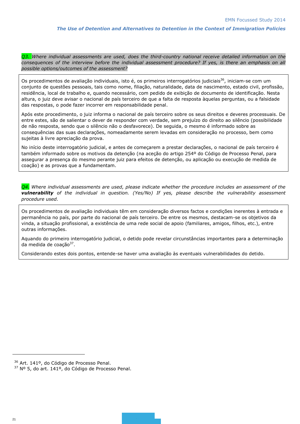*Q3. Where individual assessments are used, does the third-country national receive detailed information on the*  consequences of the interview before the individual assessment procedure? If yes, is there an emphasis on all *possible options/outcomes of the assessment?*

Os procedimentos de avaliação individuais, isto é, os primeiros interrogatórios judiciais<sup>36</sup>, iniciam-se com um conjunto de questões pessoais, tais como nome, filiação, naturalidade, data de nascimento, estado civil, profissão, residência, local de trabalho e, quando necessário, com pedido de exibição de documento de identificação. Nesta altura, o juiz deve avisar o nacional de país terceiro de que a falta de resposta àquelas perguntas, ou a falsidade das respostas, o pode fazer incorrer em responsabilidade penal.

Após este procedimento, o juiz informa o nacional de país terceiro sobre os seus direitos e deveres processuais. De entre estes, são de salientar o dever de responder com verdade, sem prejuízo do direito ao silêncio (possibilidade de não resposta, sendo que o silêncio não o desfavorece). De seguida, o mesmo é informado sobre as consequências das suas declarações, nomeadamente serem levadas em consideração no processo, bem como sujeitas à livre apreciação da prova.

No início deste interrogatório judicial, e antes de começarem a prestar declarações, o nacional de país terceiro é também informado sobre os motivos da detenção (na aceção do artigo 254º do Código de Processo Penal, para assegurar a presença do mesmo perante juiz para efeitos de detenção, ou aplicação ou execução de medida de coação) e as provas que a fundamentam.

*Q4. Where individual assessments are used, please indicate whether the procedure includes an assessment of the vulnerability of the individual in question. (Yes/No) If yes, please describe the vulnerability assessment procedure used.*

Os procedimentos de avaliação individuais têm em consideração diversos factos e condições inerentes à entrada e permanência no país, por parte do nacional de país terceiro. De entre os mesmos, destacam-se os objetivos da vinda, a situação profissional, a existência de uma rede social de apoio (familiares, amigos, filhos, etc.), entre outras informações.

Aquando do primeiro interrogatório judicial, o detido pode revelar circunstâncias importantes para a determinação da medida de coação<sup>37</sup>.

Considerando estes dois pontos, entende-se haver uma avaliação às eventuais vulnerabilidades do detido.

<sup>&</sup>lt;sup>36</sup> Art. 141º, do Código de Processo Penal.

<sup>37</sup> Nº 5, do art. 141º, do Código de Processo Penal.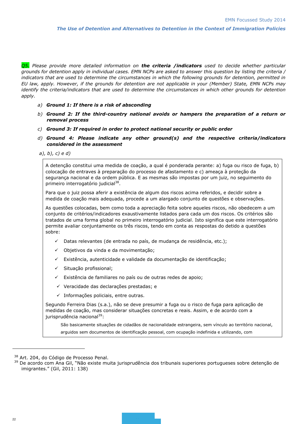*Q5. Please provide more detailed information on the criteria /indicators used to decide whether particular grounds for detention apply in individual cases. EMN NCPs are asked to answer this question by listing the criteria / indicators that are used to determine the circumstances in which the following grounds for detention, permitted in EU law, apply. However, if the grounds for detention are not applicable in your (Member) State, EMN NCPs may identify the criteria/indicators that are used to determine the circumstances in which other grounds for detention apply.*

- *a) Ground 1: If there is a risk of absconding*
- *b) Ground 2: If the third-country national avoids or hampers the preparation of a return or removal process*
- *c) Ground 3: If required in order to protect national security or public order*
- *d) Ground 4: Please indicate any other ground(s) and the respective criteria/indicators considered in the assessment*
- *a), b), c) e d)*

A detenção constitui uma medida de coação, a qual é ponderada perante: a) fuga ou risco de fuga, b) colocação de entraves à preparação do processo de afastamento e c) ameaça à proteção da segurança nacional e da ordem pública. E as mesmas são impostas por um juiz, no seguimento do primeiro interrogatório judicial<sup>38</sup>.

Para que o juiz possa aferir a existência de algum dos riscos acima referidos, e decidir sobre a medida de coação mais adequada, procede a um alargado conjunto de questões e observações.

As questões colocadas, bem como toda a apreciação feita sobre aqueles riscos, não obedecem a um conjunto de critérios/indicadores exaustivamente listados para cada um dos riscos. Os critérios são tratados de uma forma global no primeiro interrogatório judicial. Isto significa que este interrogatório permite avaliar conjuntamente os três riscos, tendo em conta as respostas do detido a questões sobre:

- $\checkmark$  Datas relevantes (de entrada no país, de mudança de residência, etc.);
- Objetivos da vinda e da movimentação;
- Existência, autenticidade e validade da documentação de identificação;
- Situação profissional;
- $\checkmark$  Existência de familiares no país ou de outras redes de apoio;
- $\checkmark$  Veracidade das declarações prestadas; e
- $\checkmark$  Informações policiais, entre outras.

Segundo Ferreira Dias (s.a.), não se deve presumir a fuga ou o risco de fuga para aplicação de medidas de coação, mas considerar situações concretas e reais. Assim, e de acordo com a jurisprudência nacional<sup>39</sup>:

São basicamente situações de cidadãos de nacionalidade estrangeira, sem vínculo ao território nacional, arguidos sem documentos de identificação pessoal, com ocupação indefinida e utilizando, com

<sup>38</sup> Art. 204, do Código de Processo Penal.

<sup>&</sup>lt;sup>39</sup> De acordo com Ana Gil, "Não existe muita jurisprudência dos tribunais superiores portugueses sobre detenção de imigrantes." (Gil, 2011: 138)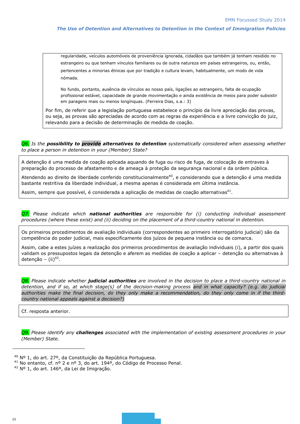regularidade, veículos automóveis de proveniência ignorada, cidadãos que também já tenham residido no estrangeiro ou que tenham vínculos familiares ou de outra natureza em países estrangeiros, ou, então, pertencentes a minorias étnicas que por tradição e cultura levam, habitualmente, um modo de vida nómada.

No fundo, portanto, ausência de vínculos ao nosso país, ligações ao estrangeiro, falta de ocupação profissional estável, capacidade de grande movimentação e ainda existência de meios para poder subsistir em paragens mais ou menos longínquas. (Ferreira Dias, s.a.: 3)

Por fim, de referir que a legislação portuguesa estabelece o princípio da livre apreciação das provas, ou seja, as provas são apreciadas de acordo com as regras da experiência e a livre convicção do juiz, relevando para a decisão de determinação de medida de coação.

*Q6. Is the possibility to provide alternatives to detention systematically considered when assessing whether to place a person in detention in your (Member) State?* 

A detenção é uma medida de coação aplicada aquando de fuga ou risco de fuga, de colocação de entraves à preparação do processo de afastamento e de ameaça à proteção da segurança nacional e da ordem pública.

Atendendo ao direito de liberdade conferido constitucionalmente<sup>40</sup>, e considerando que a detenção é uma medida bastante restritiva da liberdade individual, a mesma apenas é considerada em última instância.

Assim, sempre que possível, é considerada a aplicação de medidas de coação alternativas $^{\rm 41}.$ 

*Q7. Please indicate which national authorities are responsible for (i) conducting individual assessment procedures (where these exist) and (ii) deciding on the placement of a third-country national in detention.*

Os primeiros procedimentos de avaliação individuais (correspondentes ao primeiro interrogatório judicial) são da competência do poder judicial, mais especificamente dos juízos de pequena instância ou de comarca.

Assim, cabe a estes juízes a realização dos primeiros procedimentos de avaliação individuais (i), a partir dos quais validam os pressupostos legais da detenção e aferem as medidas de coação a aplicar – detenção ou alternativas à detenção – (ii)<sup>42</sup>.

*Q8. Please indicate whether judicial authorities are involved in the decision to place a third-country national in detention, and if so, at which stage(s) of the decision-making process and in what capacity? (e.g. do judicial authorities make the final decision, do they only make a recommendation, do they only come in if the thirdcountry national appeals against a decision?)*

Cf. resposta anterior.

*Q9. Please identify any challenges associated with the implementation of existing assessment procedures in your (Member) State.*

<sup>40</sup> Nº 1, do art. 27º, da Constituição da República Portuguesa.

<sup>&</sup>lt;sup>41</sup> No entanto, cf. nº 2 e nº 3, do art. 194º, do Código de Processo Penal.

<sup>42</sup> Nº 1, do art. 146º, da Lei de Imigração.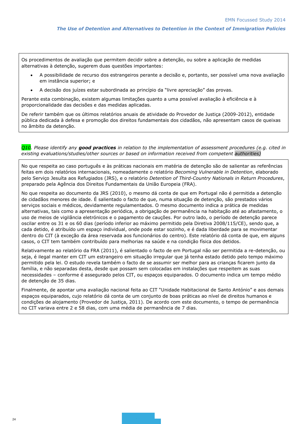Os procedimentos de avaliação que permitem decidir sobre a detenção, ou sobre a aplicação de medidas alternativas à detenção, sugerem duas questões importantes:

- A possibilidade de recurso dos estrangeiros perante a decisão e, portanto, ser possível uma nova avaliação em instância superior; e
- A decisão dos juízes estar subordinada ao princípio da "livre apreciação" das provas.

Perante esta combinação, existem algumas limitações quanto a uma possível avaliação à eficiência e à proporcionalidade das decisões e das medidas aplicadas.

De referir também que os últimos relatórios anuais de atividade do Provedor de Justiça (2009-2012), entidade pública dedicada à defesa e promoção dos direitos fundamentais dos cidadãos, não apresentam casos de queixas no âmbito da detenção.

| Q10. Please identify any good practices in relation to the implementation of assessment procedures (e.g. cited in |  |
|-------------------------------------------------------------------------------------------------------------------|--|
| existing evaluations/studies/other sources or based on information received from competent authorities)           |  |

No que respeita ao caso português e às práticas nacionais em matéria de detenção são de salientar as referências feitas em dois relatórios internacionais, nomeadamente o relatório *Becoming Vulnerable in Detention*, elaborado pelo Serviço Jesuíta aos Refugiados (JRS), e o relatório *Detention of Third-Country Nationals in Return Procedures*, preparado pela Agência dos Direitos Fundamentais da União Europeia (FRA).

No que respeita ao documento da JRS (2010), o mesmo dá conta de que em Portugal não é permitida a detenção de cidadãos menores de idade. É salientado o facto de que, numa situação de detenção, são prestados vários serviços sociais e médicos, devidamente regulamentados. O mesmo documento indica a prática de medidas alternativas, tais como a apresentação periódica, a obrigação de permanência na habitação até ao afastamento, o uso de meios de vigilância eletrónicos e o pagamento de cauções. Por outro lado, o período de detenção parece oscilar entre os 31 e os 60 dias (período inferior ao máximo permitido pela Diretiva 2008/115/CE), sendo que, a cada detido, é atribuído um espaço individual, onde pode estar sozinho, e é dada liberdade para se movimentar dentro do CIT (à exceção da área reservada aos funcionários do centro). Este relatório dá conta de que, em alguns casos, o CIT tem também contribuído para melhorias na saúde e na condição física dos detidos.

Relativamente ao relatório da FRA (2011), é salientado o facto de em Portugal não ser permitida a re-detenção, ou seja, é ilegal manter em CIT um estrangeiro em situação irregular que já tenha estado detido pelo tempo máximo permitido pela lei. O estudo revela também o facto de se assumir ser melhor para as crianças ficarem junto da família, e não separadas desta, desde que possam sem colocadas em instalações que respeitem as suas necessidades – conforme é assegurado pelos CIT, ou espaços equiparados. O documento indica um tempo médio de detenção de 35 dias.

Finalmente, de apontar uma avaliação nacional feita ao CIT "Unidade Habitacional de Santo António" e aos demais espaços equiparados, cujo relatório dá conta de um conjunto de boas práticas ao nível de direitos humanos e condições de alojamento (Provedor de Justiça, 2011). De acordo com este documento, o tempo de permanência no CIT variava entre 2 e 58 dias, com uma média de permanência de 7 dias.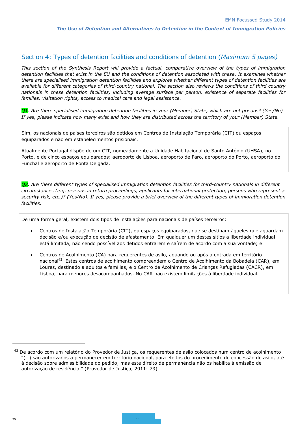## Section 4: Types of detention facilities and conditions of detention (*Maximum 5 pages)*

*This section of the Synthesis Report will provide a factual, comparative overview of the types of immigration detention facilities that exist in the EU and the conditions of detention associated with these. It examines whether there are specialised immigration detention facilities and explores whether different types of detention facilities are available for different categories of third-country national. The section also reviews the conditions of third country nationals in these detention facilities, including average surface per person, existence of separate facilities for families, visitation rights, access to medical care and legal assistance.*

*Q1. Are there specialised immigration detention facilities in your (Member) State, which are not prisons? (Yes/No) If yes, please indicate how many exist and how they are distributed across the territory of your (Member) State.*

Sim, os nacionais de países terceiros são detidos em Centros de Instalação Temporária (CIT) ou espaços equiparados e não em estabelecimentos prisionais.

Atualmente Portugal dispõe de um CIT, nomeadamente a Unidade Habitacional de Santo António (UHSA), no Porto, e de cinco espaços equiparados: aeroporto de Lisboa, aeroporto de Faro, aeroporto do Porto, aeroporto do Funchal e aeroporto de Ponta Delgada.

*Q2. Are there different types of specialised immigration detention facilities for third-country nationals in different circumstances (e.g. persons in return proceedings, applicants for international protection, persons who represent a security risk, etc.)? (Yes/No). If yes, please provide a brief overview of the different types of immigration detention facilities.*

De uma forma geral, existem dois tipos de instalações para nacionais de países terceiros:

- Centros de Instalação Temporária (CIT), ou espaços equiparados, que se destinam àqueles que aguardam decisão e/ou execução de decisão de afastamento. Em qualquer um destes sítios a liberdade individual está limitada, não sendo possível aos detidos entrarem e saírem de acordo com a sua vontade; e
- Centros de Acolhimento (CA) para requerentes de asilo, aquando ou após a entrada em território nacional<sup>43</sup>. Estes centros de acolhimento compreendem o Centro de Acolhimento da Bobadela (CAR), em Loures, destinado a adultos e famílias, e o Centro de Acolhimento de Crianças Refugiadas (CACR), em Lisboa, para menores desacompanhados. No CAR não existem limitações à liberdade individual.

l

<sup>43</sup> De acordo com um relatório do Provedor de Justiça, os requerentes de asilo colocados num centro de acolhimento "(…) são autorizados a permanecer em território nacional, para efeitos do procedimento de concessão de asilo, até à decisão sobre admissibilidade do pedido, mas este direito de permanência não os habilita à emissão de autorização de residência." (Provedor de Justiça, 2011: 73)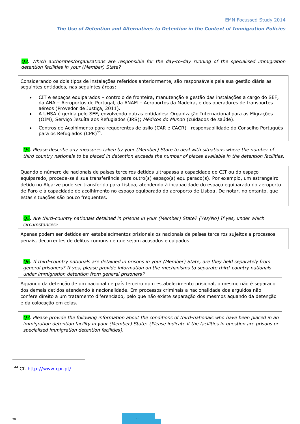**Q3**. Which authorities/organisations are responsible for the day-to-day running of the specialised immigration *detention facilities in your (Member) State?*

Considerando os dois tipos de instalações referidos anteriormente, são responsáveis pela sua gestão diária as seguintes entidades, nas seguintes áreas:

- CIT e espaços equiparados controlo de fronteira, manutenção e gestão das instalações a cargo do SEF, da ANA – Aeroportos de Portugal, da ANAM – Aeroportos da Madeira, e dos operadores de transportes aéreos (Provedor de Justiça, 2011).
- A UHSA é gerida pelo SEF, envolvendo outras entidades: Organização Internacional para as Migrações (OIM), Serviço Jesuíta aos Refugiados (JRS); *Médicos do Mundo* (cuidados de saúde).
- Centros de Acolhimento para requerentes de asilo (CAR e CACR)– responsabilidade do Conselho Português para os Refugiados (CPR)<sup>44</sup>.

*Q4. Please describe any measures taken by your (Member) State to deal with situations where the number of third country nationals to be placed in detention exceeds the number of places available in the detention facilities.*

Quando o número de nacionais de países terceiros detidos ultrapassa a capacidade do CIT ou do espaço equiparado, procede-se à sua transferência para outro(s) espaço(s) equiparado(s). Por exemplo, um estrangeiro detido no Algarve pode ser transferido para Lisboa, atendendo à incapacidade do espaço equiparado do aeroporto de Faro e à capacidade de acolhimento no espaço equiparado do aeroporto de Lisboa. De notar, no entanto, que estas situações são pouco frequentes.

#### *Q5. Are third-country nationals detained in prisons in your (Member) State? (Yes/No) If yes, under which circumstances?*

Apenas podem ser detidos em estabelecimentos prisionais os nacionais de países terceiros sujeitos a processos penais, decorrentes de delitos comuns de que sejam acusados e culpados.

*Q6. If third-country nationals are detained in prisons in your (Member) State, are they held separately from general prisoners? If yes, please provide information on the mechanisms to separate third-country nationals under immigration detention from general prisoners?*

Aquando da detenção de um nacional de país terceiro num estabelecimento prisional, o mesmo não é separado dos demais detidos atendendo à nacionalidade. Em processos criminais a nacionalidade dos arguidos não confere direito a um tratamento diferenciado, pelo que não existe separação dos mesmos aquando da detenção e da colocação em celas.

*Q7. Please provide the following information about the conditions of third-nationals who have been placed in an immigration detention facility in your (Member) State: (Please indicate if the facilities in question are prisons or specialised immigration detention facilities).*

<sup>&</sup>lt;sup>44</sup> Cf.<http://www.cpr.pt/>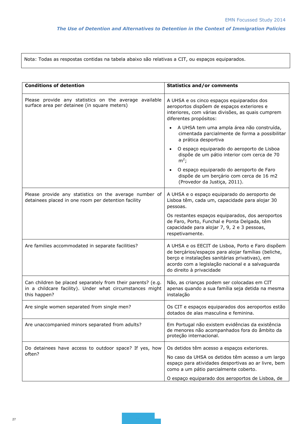Nota: Todas as respostas contidas na tabela abaixo são relativas a CIT, ou espaços equiparados.

| <b>Conditions of detention</b>                                                                                                          | <b>Statistics and/or comments</b>                                                                                                                                                                                                          |  |  |  |
|-----------------------------------------------------------------------------------------------------------------------------------------|--------------------------------------------------------------------------------------------------------------------------------------------------------------------------------------------------------------------------------------------|--|--|--|
| Please provide any statistics on the average available<br>surface area per detainee (in square meters)                                  | A UHSA e os cinco espaços equiparados dos<br>aeroportos dispõem de espaços exteriores e<br>interiores, com várias divisões, as quais cumprem<br>diferentes propósitos:                                                                     |  |  |  |
|                                                                                                                                         | A UHSA tem uma ampla área não construída,<br>$\bullet$<br>cimentada parcialmente de forma a possibilitar<br>a prática desportiva                                                                                                           |  |  |  |
|                                                                                                                                         | O espaço equiparado do aeroporto de Lisboa<br>dispõe de um pátio interior com cerca de 70<br>$m^2$ ;                                                                                                                                       |  |  |  |
|                                                                                                                                         | O espaço equiparado do aeroporto de Faro<br>dispõe de um berçário com cerca de 16 m2<br>(Provedor da Justiça, 2011).                                                                                                                       |  |  |  |
| Please provide any statistics on the average number of<br>detainees placed in one room per detention facility                           | A UHSA e o espaço equiparado do aeroporto de<br>Lisboa têm, cada um, capacidade para alojar 30<br>pessoas.                                                                                                                                 |  |  |  |
|                                                                                                                                         | Os restantes espaços equiparados, dos aeroportos<br>de Faro, Porto, Funchal e Ponta Delgada, têm<br>capacidade para alojar 7, 9, 2 e 3 pessoas,<br>respetivamente.                                                                         |  |  |  |
| Are families accommodated in separate facilities?                                                                                       | A UHSA e os EECIT de Lisboa, Porto e Faro dispõem<br>de berçários/espaços para alojar famílias (beliche,<br>berço e instalações sanitárias privativas), em<br>acordo com a legislação nacional e a salvaguarda<br>do direito à privacidade |  |  |  |
| Can children be placed separately from their parents? (e.g.<br>in a childcare facility). Under what circumstances might<br>this happen? | Não, as crianças podem ser colocadas em CIT<br>apenas quando a sua família seja detida na mesma<br>instalação                                                                                                                              |  |  |  |
| Are single women separated from single men?                                                                                             | Os CIT e espaços equiparados dos aeroportos estão<br>dotados de alas masculina e feminina.                                                                                                                                                 |  |  |  |
| Are unaccompanied minors separated from adults?                                                                                         | Em Portugal não existem evidências da existência<br>de menores não acompanhados fora do âmbito da<br>proteção internacional.                                                                                                               |  |  |  |
| Do detainees have access to outdoor space? If yes, how                                                                                  | Os detidos têm acesso a espaços exteriores.                                                                                                                                                                                                |  |  |  |
| often?                                                                                                                                  | No caso da UHSA os detidos têm acesso a um largo<br>espaço para atividades desportivas ao ar livre, bem<br>como a um pátio parcialmente coberto.                                                                                           |  |  |  |
|                                                                                                                                         | O espaço equiparado dos aeroportos de Lisboa, de                                                                                                                                                                                           |  |  |  |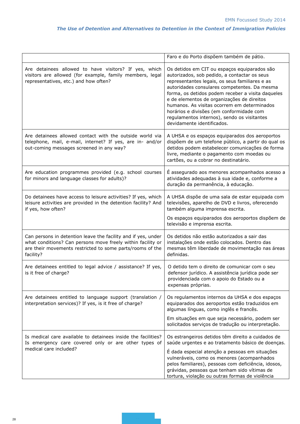|                                                                                                                                                                                                        | Faro e do Porto dispõem também de pátio.                                                                                                                                                                                                                                                                                                                                                                                                                                  |
|--------------------------------------------------------------------------------------------------------------------------------------------------------------------------------------------------------|---------------------------------------------------------------------------------------------------------------------------------------------------------------------------------------------------------------------------------------------------------------------------------------------------------------------------------------------------------------------------------------------------------------------------------------------------------------------------|
| Are detainees allowed to have visitors? If yes, which<br>visitors are allowed (for example, family members, legal<br>representatives, etc.) and how often?                                             | Os detidos em CIT ou espaços equiparados são<br>autorizados, sob pedido, a contactar os seus<br>representantes legais, os seus familiares e as<br>autoridades consulares competentes. Da mesma<br>forma, os detidos podem receber a visita daqueles<br>e de elementos de organizações de direitos<br>humanos. As visitas ocorrem em determinados<br>horários e divisões (em conformidade com<br>regulamentos internos), sendo os visitantes<br>devidamente identificados. |
| Are detainees allowed contact with the outside world via<br>telephone, mail, e-mail, internet? If yes, are in- and/or<br>out-coming messages screened in any way?                                      | A UHSA e os espaços equiparados dos aeroportos<br>dispõem de um telefone público, a partir do qual os<br>detidos podem estabelecer comunicações de forma<br>livre, mediante o pagamento com moedas ou<br>cartões, ou a cobrar no destinatário.                                                                                                                                                                                                                            |
| Are education programmes provided (e.g. school courses<br>for minors and language classes for adults)?                                                                                                 | É assegurado aos menores acompanhados acesso a<br>atividades adequadas à sua idade e, conforme a<br>duração da permanência, à educação.                                                                                                                                                                                                                                                                                                                                   |
| Do detainees have access to leisure activities? If yes, which<br>leisure activities are provided in the detention facility? And<br>if yes, how often?                                                  | A UHSA dispõe de uma sala de estar equipada com<br>televisões, aparelho de DVD e livros, oferecendo<br>também alguma imprensa escrita.<br>Os espaços equiparados dos aeroportos dispõem de<br>televisão e imprensa escrita.                                                                                                                                                                                                                                               |
| Can persons in detention leave the facility and if yes, under<br>what conditions? Can persons move freely within facility or<br>are their movements restricted to some parts/rooms of the<br>facility? | Os detidos não estão autorizados a sair das<br>instalações onde estão colocados. Dentro das<br>mesmas têm liberdade de movimentação nas áreas<br>definidas.                                                                                                                                                                                                                                                                                                               |
| Are detainees entitled to legal advice / assistance? If yes,<br>is it free of charge?                                                                                                                  | O detido tem o direito de comunicar com o seu<br>defensor jurídico. A assistência jurídica pode ser<br>providenciada com o apoio do Estado ou a<br>expensas próprias.                                                                                                                                                                                                                                                                                                     |
| Are detainees entitled to language support (translation /<br>interpretation services)? If yes, is it free of charge?                                                                                   | Os regulamentos internos da UHSA e dos espaços<br>equiparados dos aeroportos estão traduzidos em<br>algumas línguas, como inglês e francês.<br>Em situações em que seja necessário, podem ser<br>solicitados serviços de tradução ou interpretação.                                                                                                                                                                                                                       |
| Is medical care available to detainees inside the facilities?<br>Is emergency care covered only or are other types of<br>medical care included?                                                        | Os estrangeiros detidos têm direito a cuidados de<br>saúde urgentes e ao tratamento básico de doenças.<br>É dada especial atenção a pessoas em situações<br>vulneráveis, como os menores (acompanhados<br>pelos familiares), pessoas com deficiência, idosos,<br>grávidas, pessoas que tenham sido vítimas de<br>tortura, violação ou outras formas de violência                                                                                                          |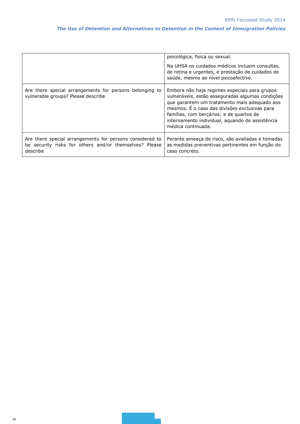|                                                                                                                                | psicológica, física ou sexual.<br>Na UHSA os cuidados médicos incluem consultas,<br>de rotina e urgentes, e prestação de cuidados de<br>saúde, mesmo ao nível psicoafectivo.                                                                                                                                            |
|--------------------------------------------------------------------------------------------------------------------------------|-------------------------------------------------------------------------------------------------------------------------------------------------------------------------------------------------------------------------------------------------------------------------------------------------------------------------|
| Are there special arrangements for persons belonging to<br>vulnerable groups? Please describe                                  | Embora não haja regimes especiais para grupos<br>vulneráveis, estão asseguradas algumas condições<br>que garantem um tratamento mais adequado aos<br>mesmos. É o caso das divisões exclusivas para<br>famílias, com berçários; e de quartos de<br>internamento individual, aquando de assistência<br>médica continuada. |
| Are there special arrangements for persons considered to<br>be security risks for others and/or themselves? Please<br>describe | Perante ameaça de risco, são avaliadas e tomadas<br>as medidas preventivas pertinentes em função do<br>caso concreto.                                                                                                                                                                                                   |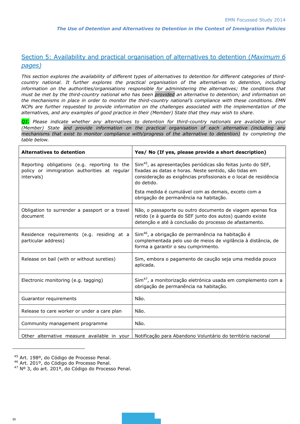# Section 5: Availability and practical organisation of alternatives to detention (*Maximum 6 pages)*

*This section explores the availability of different types of alternatives to detention for different categories of thirdcountry national. It further explores the practical organisation of the alternatives to detention, including*  information on the authorities/organisations responsible for administering the alternatives; the conditions that *must be met by the third-country national who has been provided an alternative to detention; and information on the mechanisms in place in order to monitor the third-country national's compliance with these conditions. EMN NCPs are further requested to provide information on the challenges associated with the implementation of the alternatives, and any examples of good practice in their (Member) State that they may wish to share.*

*Q1. Please indicate whether any alternatives to detention for third-country nationals are available in your (Member) State and provide information on the practical organisation of each alternative (including any mechanisms that exist to monitor compliance with/progress of the alternative to detention) by completing the table below.*

| <b>Alternatives to detention</b>                                                                           | Yes/ No (If yes, please provide a short description)                                                                                                                                                                |
|------------------------------------------------------------------------------------------------------------|---------------------------------------------------------------------------------------------------------------------------------------------------------------------------------------------------------------------|
| Reporting obligations (e.g. reporting to the<br>policy or immigration authorities at regular<br>intervals) | Sim <sup>45</sup> , as apresentações periódicas são feitas junto do SEF,<br>fixadas as datas e horas. Neste sentido, são tidas em<br>consideração as exigências profissionais e o local de residência<br>do detido. |
|                                                                                                            | Esta medida é cumulável com as demais, exceto com a<br>obrigação de permanência na habitação.                                                                                                                       |
| Obligation to surrender a passport or a travel<br>document                                                 | Não, o passaporte ou outro documento de viagem apenas fica<br>retido (e à guarda do SEF junto dos autos) quando existe<br>detenção e até à conclusão do processo de afastamento.                                    |
| Residence requirements (e.g. residing at a<br>particular address)                                          | Sim <sup>46</sup> , a obrigação de permanência na habitação é<br>complementada pelo uso de meios de vigilância à distância, de<br>forma a garantir o seu cumprimento.                                               |
| Release on bail (with or without sureties)                                                                 | Sim, embora o pagamento de caução seja uma medida pouco<br>aplicada.                                                                                                                                                |
| Electronic monitoring (e.g. tagging)                                                                       | Sim <sup>47</sup> , a monitorização eletrónica usada em complemento com a<br>obrigação de permanência na habitação.                                                                                                 |
| Guarantor requirements                                                                                     | Não.                                                                                                                                                                                                                |
| Release to care worker or under a care plan                                                                | Não.                                                                                                                                                                                                                |
| Community management programme                                                                             | Não.                                                                                                                                                                                                                |
| Other alternative measure available in your                                                                | Notificação para Abandono Voluntário do território nacional                                                                                                                                                         |

<sup>45</sup> Art. 198º, do Código de Processo Penal.

<sup>46</sup> Art. 201º, do Código do Processo Penal.

<sup>47</sup> Nº 3, do art. 201º, do Código do Processo Penal.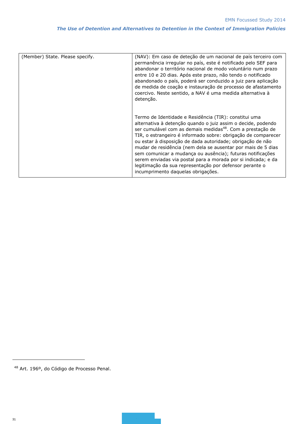| (Member) State. Please specify. | (NAV): Em caso de deteção de um nacional de país terceiro com<br>permanência irregular no país, este é notificado pelo SEF para<br>abandonar o território nacional de modo voluntário num prazo<br>entre 10 e 20 dias. Após este prazo, não tendo o notificado<br>abandonado o país, poderá ser conduzido a juiz para aplicação<br>de medida de coação e instauração de processo de afastamento<br>coercivo. Neste sentido, a NAV é uma medida alternativa à<br>detenção.                                                                                                                                                      |  |  |
|---------------------------------|--------------------------------------------------------------------------------------------------------------------------------------------------------------------------------------------------------------------------------------------------------------------------------------------------------------------------------------------------------------------------------------------------------------------------------------------------------------------------------------------------------------------------------------------------------------------------------------------------------------------------------|--|--|
|                                 | Termo de Identidade e Residência (TIR): constitui uma<br>alternativa à detenção quando o juiz assim o decide, podendo<br>ser cumulável com as demais medidas <sup>48</sup> . Com a prestação de<br>TIR, o estrangeiro é informado sobre: obrigação de comparecer<br>ou estar à disposição de dada autoridade; obrigação de não<br>mudar de residência (nem dela se ausentar por mais de 5 dias<br>sem comunicar a mudança ou ausência); futuras notificações<br>serem enviadas via postal para a morada por si indicada; e da<br>legitimação da sua representação por defensor perante o<br>incumprimento daquelas obrigações. |  |  |

<sup>48</sup> Art. 196º, do Código de Processo Penal.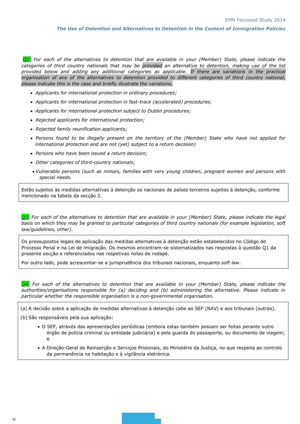*Q2. For each of the alternatives to detention that are available in your (Member) State, please indicate the categories of third country nationals that may be provided an alternative to detention, making use of the list provided below and adding any additional categories as applicable. If there are variations in the practical organisation of any of the alternatives to detention provided to different categories of third country national, please indicate this is the case and briefly illustrate the variations.*

- *Applicants for international protection in ordinary procedures;*
- *Applicants for international protection in fast-track (accelerated) procedures;*
- *Applicants for international protection subject to Dublin procedures;*
- *Rejected applicants for international protection;*
- *Rejected family reunification applicants;*
- *Persons found to be illegally present on the territory of the (Member) State who have not applied for international protection and are not (yet) subject to a return decision)*
- *Persons who have been issued a return decision;*
- *Other categories of third-country nationals;*
- *Vulnerable persons (such as minors, families with very young children, pregnant women and persons with special needs.*

Estão sujeitos às medidas alternativas à detenção os nacionais de países terceiros sujeitos à detenção, conforme mencionado na tabela da secção 2.

*Q3. For each of the alternatives to detention that are available in your (Member) State, please indicate the legal basis on which they may be granted to particular categories of third country nationals (for example legislation, soft law/guidelines, other).*

Os pressupostos legais de aplicação das medidas alternativas à detenção estão estabelecidos no Código de Processo Penal e na Lei de imigração. Os mesmos encontram-se sistematizados nas respostas à questão Q1 da presente secção e referenciados nas respetivas notas de rodapé.

Por outro lado, pode acrescentar-se a jurisprudência dos tribunais nacionais, enquanto *soft law*.

*Q4. For each of the alternatives to detention that are available in your (Member) State, please indicate the authorities/organisations responsible for (a) deciding and (b) administering the alternative. Please indicate in particular whether the responsible organisation is a non-governmental organisation.*

(a) A decisão sobre a aplicação de medidas alternativas à detenção cabe ao SEF (NAV) e aos tribunais (outras).

(b) São responsáveis pela sua aplicação:

- O SEF, através das apresentações periódicas (embora estas também possam ser feitas perante outro órgão de polícia criminal ou entidade judiciária) e pela guarda do passaporte, ou documento de viagem; e
- A Direção-Geral de Reinserção e Serviços Prisionais, do Ministério da Justiça, no que respeita ao controlo da permanência na habitação e à vigilância eletrónica.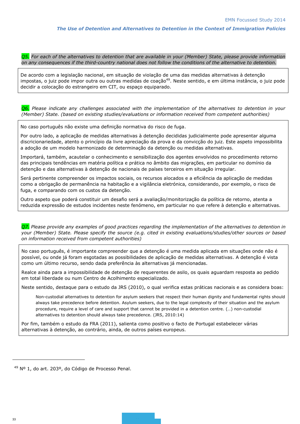*Q5. For each of the alternatives to detention that are available in your (Member) State, please provide information on any consequences if the third-country national does not follow the conditions of the alternative to detention.*

De acordo com a legislação nacional, em situação de violação de uma das medidas alternativas à detenção impostas, o juiz pode impor outra ou outras medidas de coação<sup>49</sup>. Neste sentido, e em última instância, o juiz pode decidir a colocação do estrangeiro em CIT, ou espaço equiparado.

*Q6. Please indicate any challenges associated with the implementation of the alternatives to detention in your (Member) State. (based on existing studies/evaluations or information received from competent authorities)*

No caso português não existe uma definição normativa do risco de fuga.

Por outro lado, a aplicação de medidas alternativas à detenção decididas judicialmente pode apresentar alguma discricionariedade, atento o princípio da livre apreciação da prova e da convicção do juiz. Este aspeto impossibilita a adoção de um modelo harmonizado de determinação da detenção ou medidas alternativas.

Importará, também, acautelar o conhecimento e sensibilização dos agentes envolvidos no procedimento retorno das principais tendências em matéria política e prática no âmbito das migrações, em particular no domínio da detenção e das alternativas à detenção de nacionais de países terceiros em situação irregular.

Será pertinente compreender os impactos sociais, os recursos alocados e a eficiência da aplicação de medidas como a obrigação de permanência na habitação e a vigilância eletrónica, considerando, por exemplo, o risco de fuga, e comparando com os custos da detenção.

Outro aspeto que poderá constituir um desafio será a avaliação/monitorização da política de retorno, atenta a reduzida expressão de estudos incidentes neste fenómeno, em particular no que refere à detenção e alternativas.

*Q7. Please provide any examples of good practices regarding the implementation of the alternatives to detention in your (Member) State. Please specify the source (e.g. cited in existing evaluations/studies/other sources or based on information received from competent authorities)*

No caso português, é importante compreender que a detenção é uma medida aplicada em situações onde não é possível, ou onde já foram esgotadas as possibilidades de aplicação de medidas alternativas. A detenção é vista como um último recurso, sendo dada preferência às alternativas já mencionadas.

Realce ainda para a impossibilidade de detenção de requerentes de asilo, os quais aguardam resposta ao pedido em total liberdade ou num Centro de Acolhimento especializado.

Neste sentido, destaque para o estudo da JRS (2010), o qual verifica estas práticas nacionais e as considera boas:

Non-custodial alternatives to detention for asylum seekers that respect their human dignity and fundamental rights should always take precedence before detention. Asylum seekers, due to the legal complexity of their situation and the asylum procedure, require a level of care and support that cannot be provided in a detention centre. (…) non-custodial alternatives to detention should always take precedence. (JRS, 2010:14)

Por fim, também o estudo da FRA (2011), salienta como positivo o facto de Portugal estabelecer várias alternativas à detenção, ao contrário, ainda, de outros países europeus.

<sup>&</sup>lt;sup>49</sup> Nº 1, do art. 203º, do Código de Processo Penal.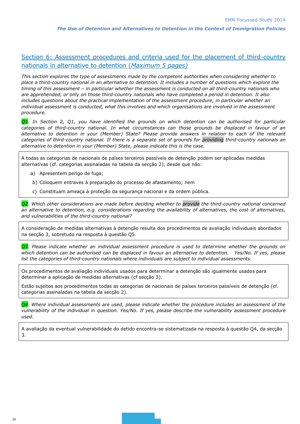# Section 6: Assessment procedures and criteria used for the placement of third-country nationals in alternative to detention (*Maximum 5 pages)*

*This section explores the type of assessments made by the competent authorities when considering whether to place a third-country national in an alternative to detention. It includes a number of questions which explore the timing of this assessment – in particular whether the assessment is conducted on all third-country nationals who are apprehended, or only on those third-country nationals who have completed a period in detention. It also includes questions about the practical implementation of the assessment procedure, in particular whether an individual assessment is conducted, what this involves and which organisations are involved in the assessment procedure.* 

*Q1. In Section 2, Q1, you have identified the grounds on which detention can be authorised for particular categories of third-country national. In what circumstances can those grounds be displaced in favour of an alternative to detention in your (Member) State? Please provide answers in relation to each of the relevant categories of third-country national. If there is a separate set of grounds for providing third-country nationals an alternative to detention in your (Member) State, please indicate this is the case.*

A todas as categorias de nacionais de países terceiros passíveis de detenção podem ser aplicadas medidas alternativas (cf. categorias assinaladas na tabela da secção 2), desde que não:

- a) Apresentem perigo de fuga;
- b) Coloquem entraves à preparação do processo de afastamento; nem
- c) Constituam ameaça à proteção da segurança nacional e da ordem pública.

*Q2. Which other considerations are made before deciding whether to provide the third-country national concerned an alternative to detention, e.g. considerations regarding the availability of alternatives, the cost of alternatives, and vulnerabilities of the third-country national?*

A consideração de medidas alternativas à detenção resulta dos procedimentos de avaliação individuais abordados na secção 3, sobretudo na resposta à questão Q5.

*Q3. Please indicate whether an individual assessment procedure is used to determine whether the grounds on which detention can be authorised can be displaced in favour an alternative to detention. Yes/No. If yes, please list the categories of third-country nationals where individuals are subject to individual assessments.*

Os procedimentos de avaliação individuais usados para determinar a detenção são igualmente usados para determinar a aplicação de medidas alternativas (cf secção 3).

Estão sujeitos aos procedimentos todas as categorias de nacionais de países terceiros passíveis de detenção (cf. categorias assinaladas na tabela da secção 2).

*Q4. Where individual assessments are used, please indicate whether the procedure includes an assessment of the vulnerability of the individual in question. Yes/No. If yes, please describe the vulnerability assessment procedure used.*

A avaliação da eventual vulnerabilidade do detido encontra-se sistematizada na resposta à questão Q4, da secção 3.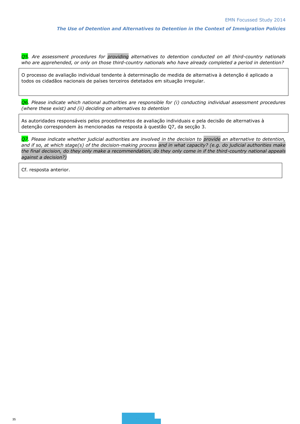*Q5. Are assessment procedures for providing alternatives to detention conducted on all third-country nationals who are apprehended, or only on those third-country nationals who have already completed a period in detention?*

O processo de avaliação individual tendente à determinação de medida de alternativa à detenção é aplicado a todos os cidadãos nacionais de países terceiros detetados em situação irregular.

*Q6. Please indicate which national authorities are responsible for (i) conducting individual assessment procedures (where these exist) and (ii) deciding on alternatives to detention* 

As autoridades responsáveis pelos procedimentos de avaliação individuais e pela decisão de alternativas à detenção correspondem às mencionadas na resposta à questão Q7, da secção 3.

*Q7. Please indicate whether judicial authorities are involved in the decision to provide an alternative to detention, and if so, at which stage(s) of the decision-making process and in what capacity? (e.g. do judicial authorities make the final decision, do they only make a recommendation, do they only come in if the third-country national appeals against a decision?)*

Cf. resposta anterior.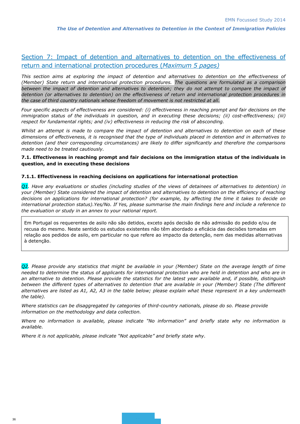# Section 7: Impact of detention and alternatives to detention on the effectiveness of return and international protection procedures (*Maximum 5 pages)*

*This section aims at exploring the impact of detention and alternatives to detention on the effectiveness of (Member) State return and international protection procedures. The questions are formulated as a comparison between the impact of detention and alternatives to detention; they do not attempt to compare the impact of detention (or alternatives to detention) on the effectiveness of return and international protection procedures in the case of third country nationals whose freedom of movement is not restricted at all.*

*Four specific aspects of effectiveness are considered: (i) effectiveness in reaching prompt and fair decisions on the immigration status of the individuals in question, and in executing these decisions; (ii) cost-effectiveness; (iii) respect for fundamental rights; and (iv) effectiveness in reducing the risk of absconding.*

*Whilst an attempt is made to compare the impact of detention and alternatives to detention on each of these dimensions of effectiveness, it is recognised that the type of individuals placed in detention and in alternatives to detention (and their corresponding circumstances) are likely to differ significantly and therefore the comparisons made need to be treated cautiously.*

#### **7.1. Effectiveness in reaching prompt and fair decisions on the immigration status of the individuals in question, and in executing these decisions**

#### **7.1.1. Effectiveness in reaching decisions on applications for international protection**

*Q1. Have any evaluations or studies (including studies of the views of detainees of alternatives to detention) in your (Member) State considered the impact of detention and alternatives to detention on the efficiency of reaching decisions on applications for international protection? (for example, by affecting the time it takes to decide on international protection status).Yes/No. If Yes, please summarise the main findings here and include a reference to the evaluation or study in an annex to your national report.*

Em Portugal os requerentes de asilo não são detidos, exceto após decisão de não admissão do pedido e/ou de recusa do mesmo. Neste sentido os estudos existentes não têm abordado a eficácia das decisões tomadas em relação aos pedidos de asilo, em particular no que refere ao impacto da detenção, nem das medidas alternativas à detenção.

*Q2. Please provide any statistics that might be available in your (Member) State on the average length of time needed to determine the status of applicants for international protection who are held in detention and who are in an alternative to detention. Please provide the statistics for the latest year available and, if possible, distinguish between the different types of alternatives to detention that are available in your (Member) State (The different alternatives are listed as A1, A2, A3 in the table below; please explain what these represent in a key underneath the table).*

*Where statistics can be disaggregated by categories of third-country nationals, please do so. Please provide information on the methodology and data collection.*

*Where no information is available, please indicate "No information" and briefly state why no information is available.*

*Where it is not applicable, please indicate "Not applicable" and briefly state why.*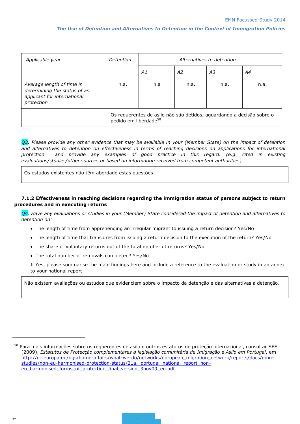| Applicable year                                                                                        | Detention                                                                                                    | Alternatives to detention |    |    |    |
|--------------------------------------------------------------------------------------------------------|--------------------------------------------------------------------------------------------------------------|---------------------------|----|----|----|
|                                                                                                        |                                                                                                              | A1                        | A2 | А3 | Α4 |
| Average length of time in<br>determining the status of an<br>applicant for international<br>protection | n.a.                                                                                                         | n.a.<br>n.a.<br>n.a       |    |    |    |
|                                                                                                        | Os requerentes de asilo não são detidos, aguardando a decisão sobre o<br>pedido em liberdade <sup>50</sup> . |                           |    |    |    |

**Q3.** Please provide any other evidence that may be available in your (Member State) on the impact of detention and alternatives to detention on effectiveness in terms of reaching decisions on applications for international *protection and provide any examples of good practice in this regard. (e.g. cited in existing evaluations/studies/other sources or based on information received from competent authorities)*

Os estudos existentes não têm abordado estas questões.

#### **7.1.2 Effectiveness in reaching decisions regarding the immigration status of persons subject to return procedures and in executing returns**

*Q4. Have any evaluations or studies in your (Member) State considered the impact of detention and alternatives to detention on:*

- The length of time from apprehending an irregular migrant to issuing a return decision? Yes/No
- The length of time that transpires from issuing a return decision to the execution of the return? Yes/No
- The share of voluntary returns out of the total number of returns? Yes/No
- The total number of removals completed? Yes/No

If Yes, please summarise the main findings here and include a reference to the evaluation or study in an annex to your national report

Não existem avaliações ou estudos que evidenciem sobre o impacto da detenção e das alternativas à detenção.

<sup>50</sup> Para mais informações sobre os requerentes de asilo e outros estatutos de proteção internacional, consultar SEF (2009), *Estatutos de Protecção complementares à legislação comunitária de Imigração e Asilo em Portugal*, em [http://ec.europa.eu/dgs/home-affairs/what-we-do/networks/european\\_migration\\_network/reports/docs/emn](http://ec.europa.eu/dgs/home-affairs/what-we-do/networks/european_migration_network/reports/docs/emn-studies/non-eu-harmonised-protection-status/21a._portugal_national_report_non-eu_harmonised_forms_of_protection_final_version_3nov09_en.pdf)studies/non-eu-harmonised-protection-status/21a. portugal\_national\_report\_noneu harmonised forms of protection final version 3nov09 en.pdf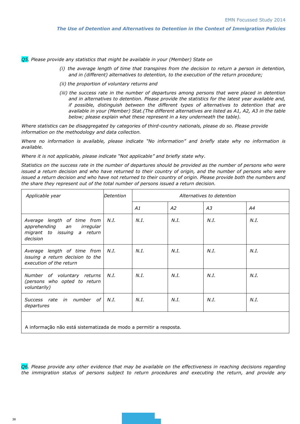*Q5. Please provide any statistics that might be available in your (Member) State on* 

- *(i) the average length of time that transpires from the decision to return a person in detention, and in (different) alternatives to detention, to the execution of the return procedure;*
- *(ii) the proportion of voluntary returns and*
- *(iii) the success rate in the number of departures among persons that were placed in detention and in alternatives to detention. Please provide the statistics for the latest year available and, if possible, distinguish between the different types of alternatives to detention that are available in your (Member) Stat.(The different alternatives are listed as A1, A2, A3 in the table below; please explain what these represent in a key underneath the table).*

*Where statistics can be disaggregated by categories of third-country nationals, please do so. Please provide information on the methodology and data collection.*

*Where no information is available, please indicate "No information" and briefly state why no information is available.*

*Where it is not applicable, please indicate "Not applicable" and briefly state why.*

*Statistics on the success rate in the number of departures should be provided as the number of persons who were issued a return decision and who have returned to their country of origin, and the number of persons who were issued a return decision and who have not returned to their country of origin. Please provide both the numbers and the share they represent out of the total number of persons issued a return decision.*

| Applicable year                                                                                        | Detention | Alternatives to detention |      |      |      |
|--------------------------------------------------------------------------------------------------------|-----------|---------------------------|------|------|------|
|                                                                                                        |           | A1                        | A2   | A3   | A4   |
| Average length of time from<br>apprehending an<br>irregular<br>migrant to issuing a return<br>decision | N.I.      | N.I.                      | N.I. | N.I. | N.I. |
| Average length of time from<br>issuing a return decision to the<br>execution of the return             | N.I.      | N.I.                      | N.I. | N.I. | N.I. |
| Number of voluntary returns<br>(persons who opted to return<br>voluntarily)                            | N.I.      | N.I.                      | N.I. | N.I. | N.I. |
| Success rate in number of<br>departures                                                                | N.I.      | N.I.                      | N.I. | N.I. | N.I. |
|                                                                                                        |           |                           |      |      |      |

A informação não está sistematizada de modo a permitir a resposta.

*Q6. Please provide any other evidence that may be available on the effectiveness in reaching decisions regarding the immigration status of persons subject to return procedures and executing the return, and provide any*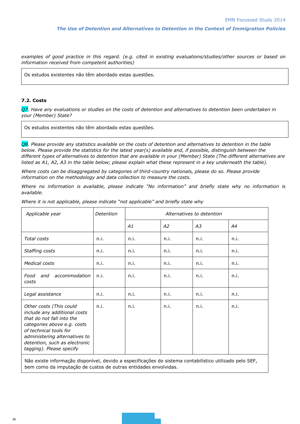*examples of good practice in this regard. (e.g. cited in existing evaluations/studies/other sources or based on information received from competent authorities)*

Os estudos existentes não têm abordado estas questões.

#### **7.2. Costs**

*Q7. Have any evaluations or studies on the costs of detention and alternatives to detention been undertaken in your (Member) State?*

Os estudos existentes não têm abordado estas questões.

*Q8. Please provide any statistics available on the costs of detention and alternatives to detention in the table below. Please provide the statistics for the latest year(s) available and, if possible, distinguish between the different types of alternatives to detention that are available in your (Member) State (The different alternatives are listed as A1, A2, A3 in the table below; please explain what these represent in a key underneath the table).*

*Where costs can be disaggregated by categories of third-country nationals, please do so. Please provide information on the methodology and data collection to measure the costs.*

*Where no information is available, please indicate "No information" and briefly state why no information is available.*

| Applicable year                                                                                                                                                                                                                             | Detention | Alternatives to detention |      |      |      |
|---------------------------------------------------------------------------------------------------------------------------------------------------------------------------------------------------------------------------------------------|-----------|---------------------------|------|------|------|
|                                                                                                                                                                                                                                             |           | A1                        | A2   | А3   | Α4   |
| Total costs                                                                                                                                                                                                                                 | n.i.      | n.i.                      | n.i. | n.i. | n.i. |
| Staffing costs                                                                                                                                                                                                                              | n.i.      | n.i.                      | n.i. | n.i. | n.i. |
| Medical costs                                                                                                                                                                                                                               | n.i.      | n.i.                      | n.i. | n.i. | n.i. |
| Food<br>accommodation<br>and<br>costs                                                                                                                                                                                                       | n.i.      | n.i.                      | n.i. | n.i. | n.i. |
| Legal assistance                                                                                                                                                                                                                            | n.i.      | n.i.                      | n.i. | n.i. | n.i. |
| Other costs (This could<br>include any additional costs<br>that do not fall into the<br>categories above e.g. costs<br>of technical tools for<br>administering alternatives to<br>detention, such as electronic<br>tagging). Please specify | n.i.      | n.i.                      | n.i. | n.i. | n.i. |

*Where it is not applicable, please indicate "not applicable" and briefly state why*

Não existe informação disponível, devido a especificações do sistema contabilístico utilizado pelo SEF, bem como da imputação de custos de outras entidades envolvidas.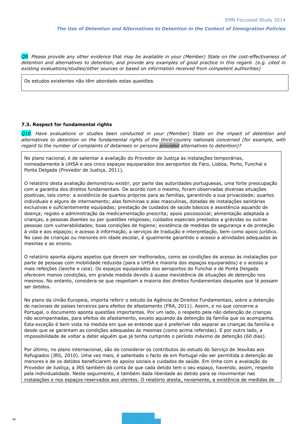*Q9. Please provide any other evidence that may be available in your (Member) State on the cost-effectiveness of detention and alternatives to detention, and provide any examples of good practice in this regard. (e.g. cited in existing evaluations/studies/other sources or based on information received from competent authorities)*

Os estudos existentes não têm abordado estas questões.

#### **7.3. Respect for fundamental rights**

*Q10. Have evaluations or studies been conducted in your (Member) State on the impact of detention and alternatives to detention on the fundamental rights of the third-country nationals concerned (for example, with regard to the number of complaints of detainees or persons provided alternatives to detention)?*

No plano nacional, é de salientar a avaliação do Provedor de Justiça às instalações temporárias, nomeadamente à UHSA e aos cinco espaços equiparados dos aeroportos de Faro, Lisboa, Porto, Funchal e Ponta Delgada (Provedor de Justiça, 2011).

O relatório desta avaliação demonstrou existir, por parte das autoridades portuguesas, uma forte preocupação com a garantia dos direitos fundamentais. De acordo com o mesmo, foram observadas diversas situações positivas, tais como: a existência de quartos próprios para as famílias, garantindo a sua privacidade; quartos individuais e alguns de internamento; alas femininas e alas masculinas, dotadas de instalações sanitárias exclusivas e suficientemente equipadas; prestação de cuidados de saúde básicos e assistência aquando de doença; registo e administração da medicamentação prescrita; apoio psicossocial; alimentação adaptada a crianças, a pessoas doentes ou por questões religiosas; cuidados especiais prestados a grávidas ou outras pessoas com vulnerabilidades; boas condições de higiene; existência de medidas de segurança e de proteção à vida e aos espaços; e acesso à informação, a serviços de tradução e interpretação, bem como apoio jurídico. No caso de crianças ou menores em idade escolar, é igualmente garantido o acesso a atividades adequadas às mesmas e ao ensino.

O relatório aponta alguns aspetos que devem ser melhorados, como as condições de acesso às instalações por parte de pessoas com mobilidade reduzida (para a UHSA e maioria dos espaços equiparados) e o acesso a mais refeições (lanche e ceia). Os espaços equiparados dos aeroportos do Funchal e de Ponta Delgada oferecem menos condições, em grande medida devido à quase inexistência de situações de detenção nos mesmos. No entanto, considera-se que respeitam a maioria dos direitos fundamentais daqueles que lá possam ser detidos.

No plano da União Europeia, importa referir o estudo da Agência de Direitos Fundamentais, sobre a detenção de nacionais de países terceiros para efeitos de afastamento (FRA, 2011). Assim, e no que concerne a Portugal, o documento aponta questões importantes. Por um lado, o respeito pela não detenção de crianças não acompanhadas, para efeitos de afastamento, exceto aquando da detenção da família que os acompanha. Esta exceção é bem vista na medida em que se entende que é preferível não separar as crianças da família e desde que se garantam as condições adequadas às mesmas (como acima referidas). E por outro lado, a impossibilidade de voltar a deter alguém que já tenha cumprido o período máximo de detenção (60 dias).

Por último, no plano internacional, são de considerar os contributos do estudo do Serviço de Jesuítas aos Refugiados (JRS, 2010). Uma vez mais, é salientado o facto de em Portugal não ser permitida a detenção de menores e de os detidos beneficiarem de apoios sociais e cuidados de saúde. Em linha com a avaliação do Provedor de Justiça, a JRS também dá conta de que cada detido tem o seu espaço, havendo, assim, respeito pela individualidade. Neste seguimento, é também dada liberdade ao detido para se movimentar nas instalações e nos espaços reservados aos utentes. O relatório atesta, novamente, a existência de medidas de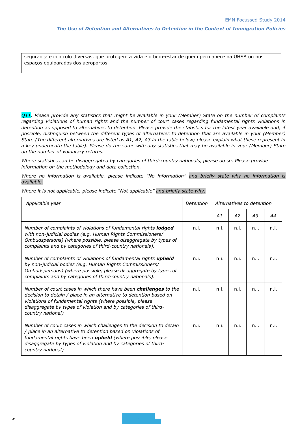segurança e controlo diversas, que protegem a vida e o bem-estar de quem permanece na UHSA ou nos espaços equiparados dos aeroportos.

*Q11. Please provide any statistics that might be available in your (Member) State on the number of complaints regarding violations of human rights and the number of court cases regarding fundamental rights violations in detention as opposed to alternatives to detention. Please provide the statistics for the latest year available and, if possible, distinguish between the different types of alternatives to detention that are available in your (Member) State (The different alternatives are listed as A1, A2, A3 in the table below; please explain what these represent in a key underneath the table). Please do the same with any statistics that may be available in your (Member) State on the number of voluntary returns.*

*Where statistics can be disaggregated by categories of third-country nationals, please do so. Please provide information on the methodology and data collection.*

*Where no information is available, please indicate "No information" and briefly state why no information is available.*

| Applicable year                                                                                                                                                                                                                                                                                  | Detention | Alternatives to detention |      |      |      |
|--------------------------------------------------------------------------------------------------------------------------------------------------------------------------------------------------------------------------------------------------------------------------------------------------|-----------|---------------------------|------|------|------|
|                                                                                                                                                                                                                                                                                                  |           | A1                        | A2   | A3   | A4   |
| Number of complaints of violations of fundamental rights <b>lodged</b><br>with non-judicial bodies (e.g. Human Rights Commissioners/<br>Ombudspersons) (where possible, please disaggregate by types of<br>complaints and by categories of third-country nationals).                             | n.i.      | n.i.                      | n.i. | n.i. | n.i. |
| Number of complaints of violations of fundamental rights upheld<br>by non-judicial bodies (e.g. Human Rights Commissioners/<br>Ombudspersons) (where possible, please disaggregate by types of<br>complaints and by categories of third-country nationals).                                      | n.i.      | n.i.                      | n.i. | n.i. | n.i. |
| Number of court cases in which there have been <b>challenges</b> to the<br>decision to detain / place in an alternative to detention based on<br>violations of fundamental rights (where possible, please<br>disaggregate by types of violation and by categories of third-<br>country national) | n.i.      | n.i.                      | n.i. | n.i. | n.i. |
| Number of court cases in which challenges to the decision to detain<br>/ place in an alternative to detention based on violations of<br>fundamental rights have been upheld (where possible, please<br>disaggregate by types of violation and by categories of third-<br>country national)       | n.i.      | n.i.                      | n.i. | n.i. | n.i. |

*Where it is not applicable, please indicate "Not applicable" and briefly state why.*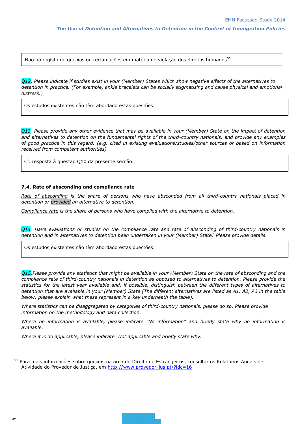Não há registo de queixas ou reclamações em matéria de violação dos direitos humanos $^{\mathrm{51}}$ .

*Q12. Please indicate if studies exist in your (Member) States which show negative effects of the alternatives to detention in practice. (For example, ankle bracelets can be socially stigmatising and cause physical and emotional distress.)*

Os estudos existentes não têm abordado estas questões.

*Q13. Please provide any other evidence that may be available in your (Member) State on the impact of detention and alternatives to detention on the fundamental rights of the third-country nationals, and provide any examples of good practice in this regard. (e.g. cited in existing evaluations/studies/other sources or based on information received from competent authorities)*

Cf. resposta à questão Q10 da presente secção.

#### **7.4. Rate of absconding and compliance rate**

*Rate of absconding is the share of persons who have absconded from all third-country nationals placed in detention or provided an alternative to detention.* 

*Compliance rate is the share of persons who have complied with the alternative to detention.* 

*Q14. Have evaluations or studies on the compliance rate and rate of absconding of third-country nationals in detention and in alternatives to detention been undertaken in your (Member) State? Please provide details.*

Os estudos existentes não têm abordado estas questões.

*Q15.Please provide any statistics that might be available in your (Member) State on the rate of absconding and the compliance rate of third-country nationals in detention as opposed to alternatives to detention. Please provide the statistics for the latest year available and, if possible, distinguish between the different types of alternatives to detention that are available in your (Member) State (The different alternatives are listed as A1, A2, A3 in the table below; please explain what these represent in a key underneath the table).* 

*Where statistics can be disaggregated by categories of third-country nationals, please do so. Please provide information on the methodology and data collection.*

*Where no information is available, please indicate "No information" and briefly state why no information is available.*

*Where it is no applicable, please indicate "Not applicable and briefly state why.*

<sup>&</sup>lt;sup>51</sup> Para mais informações sobre queixas na área do Direito de Estrangeiros, consultar os Relatórios Anuais de Atividade do Provedor de Justiça, em<http://www.provedor-jus.pt/?idc=16>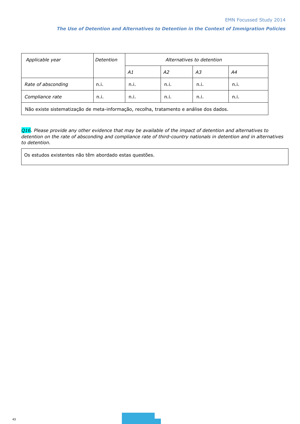| Applicable year    | Detention | Alternatives to detention |      |      |      |  |  |
|--------------------|-----------|---------------------------|------|------|------|--|--|
|                    |           | Α1                        | A2   | ΑЗ   | Α4   |  |  |
| Rate of absconding | n.i.      | n.i.                      | n.i. | n.i. | n.i. |  |  |
| Compliance rate    | n.i.      | n.i.                      | n.i. | n.i. | n.i. |  |  |
|                    |           |                           |      |      |      |  |  |

Não existe sistematização de meta-informação, recolha, tratamento e análise dos dados.

*Q16. Please provide any other evidence that may be available of the impact of detention and alternatives to detention on the rate of absconding and compliance rate of third-country nationals in detention and in alternatives to detention.*

Os estudos existentes não têm abordado estas questões.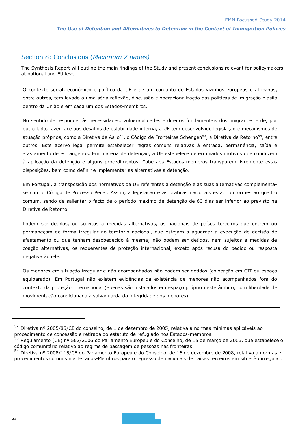# Section 8: Conclusions (*Maximum 2 pages)*

The Synthesis Report will outline the main findings of the Study and present conclusions relevant for policymakers at national and EU level.

O contexto social, económico e político da UE e de um conjunto de Estados vizinhos europeus e africanos, entre outros, tem levado a uma séria reflexão, discussão e operacionalização das políticas de imigração e asilo dentro da União e em cada um dos Estados-membros.

No sentido de responder às necessidades, vulnerabilidades e direitos fundamentais dos imigrantes e de, por outro lado, fazer face aos desafios de estabilidade interna, a UE tem desenvolvido legislação e mecanismos de atuação próprios, como a Diretiva de Asilo<sup>52</sup>, o Código de Fronteiras Schengen<sup>53</sup>, a Diretiva de Retorno<sup>54</sup>, entre outros. Este acervo legal permite estabelecer regras comuns relativas à entrada, permanência, saída e afastamento de estrangeiros. Em matéria de detenção, a UE estabelece determinados motivos que conduzem à aplicação da detenção e alguns procedimentos. Cabe aos Estados-membros transporem livremente estas disposições, bem como definir e implementar as alternativas à detenção.

Em Portugal, a transposição dos normativos da UE referentes à detenção e às suas alternativas complementase com o Código de Processo Penal. Assim, a legislação e as práticas nacionais estão conformes ao quadro comum, sendo de salientar o facto de o período máximo de detenção de 60 dias ser inferior ao previsto na Diretiva de Retorno.

Podem ser detidos, ou sujeitos a medidas alternativas, os nacionais de países terceiros que entrem ou permaneçam de forma irregular no território nacional, que estejam a aguardar a execução de decisão de afastamento ou que tenham desobedecido à mesma; não podem ser detidos, nem sujeitos a medidas de coação alternativas, os requerentes de proteção internacional, exceto após recusa do pedido ou resposta negativa àquele.

Os menores em situação irregular e não acompanhados não podem ser detidos (colocação em CIT ou espaço equiparado). Em Portugal não existem evidências da existência de menores não acompanhados fora do contexto da proteção internacional (apenas são instalados em espaço próprio neste âmbito, com liberdade de movimentação condicionada à salvaguarda da integridade dos menores).

l

<sup>52</sup> Diretiva nº 2005/85/CE do conselho, de 1 de dezembro de 2005, relativa a normas mínimas aplicáveis ao procedimento de concessão e retirada do estatuto de refugiado nos Estados-membros.

<sup>&</sup>lt;sup>53</sup> Regulamento (CE) nº 562/2006 do Parlamento Europeu e do Conselho, de 15 de março de 2006, que estabelece o código comunitário relativo ao regime de passagem de pessoas nas fronteiras.

<sup>54</sup> Diretiva nº 2008/115/CE do Parlamento Europeu e do Conselho, de 16 de dezembro de 2008, relativa a normas e procedimentos comuns nos Estados-Membros para o regresso de nacionais de países terceiros em situação irregular.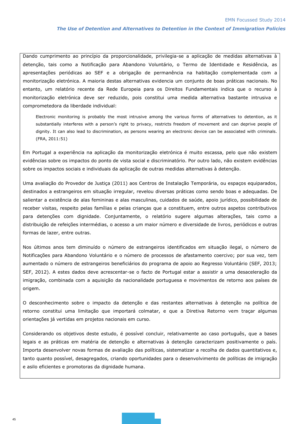Dando cumprimento ao princípio da proporcionalidade, privilegia-se a aplicação de medidas alternativas à detenção, tais como a Notificação para Abandono Voluntário, o Termo de Identidade e Residência, as apresentações periódicas ao SEF e a obrigação de permanência na habitação complementada com a monitorização eletrónica. A maioria destas alternativas evidencia um conjunto de boas práticas nacionais. No entanto, um relatório recente da Rede Europeia para os Direitos Fundamentais indica que o recurso à monitorização eletrónica deve ser reduzido, pois constitui uma medida alternativa bastante intrusiva e comprometedora da liberdade individual:

Electronic monitoring is probably the most intrusive among the various forms of alternatives to detention, as it substantially interferes with a person's right to privacy, restricts freedom of movement and can deprive people of dignity. It can also lead to discrimination, as persons wearing an electronic device can be associated with criminals. (FRA, 2011:51)

Em Portugal a experiência na aplicação da monitorização eletrónica é muito escassa, pelo que não existem evidências sobre os impactos do ponto de vista social e discriminatório. Por outro lado, não existem evidências sobre os impactos sociais e individuais da aplicação de outras medidas alternativas à detenção.

Uma avaliação do Provedor de Justiça (2011) aos Centros de Instalação Temporária, ou espaços equiparados, destinados a estrangeiros em situação irregular, revelou diversas práticas como sendo boas e adequadas. De salientar a existência de alas femininas e alas masculinas, cuidados de saúde, apoio jurídico, possibilidade de receber visitas, respeito pelas famílias e pelas crianças que a constituem, entre outros aspetos contributivos para detenções com dignidade. Conjuntamente, o relatório sugere algumas alterações, tais como a distribuição de refeições intermédias, o acesso a um maior número e diversidade de livros, periódicos e outras formas de lazer, entre outras.

Nos últimos anos tem diminuído o número de estrangeiros identificados em situação ilegal, o número de Notificações para Abandono Voluntário e o número de processos de afastamento coercivo; por sua vez, tem aumentado o número de estrangeiros beneficiários do programa de apoio ao Regresso Voluntário (SEF, 2013; SEF, 2012). A estes dados deve acrescentar-se o facto de Portugal estar a assistir a uma desaceleração da imigração, combinada com a aquisição da nacionalidade portuguesa e movimentos de retorno aos países de origem.

O desconhecimento sobre o impacto da detenção e das restantes alternativas à detenção na política de retorno constitui uma limitação que importará colmatar, e que a Diretiva Retorno vem traçar algumas orientações já vertidas em projetos nacionais em curso.

Considerando os objetivos deste estudo, é possível concluir, relativamente ao caso português, que a bases legais e as práticas em matéria de detenção e alternativas à detenção caracterizam positivamente o país. Importa desenvolver novas formas de avaliação das políticas, sistematizar a recolha de dados quantitativos e, tanto quanto possível, desagregados, criando oportunidades para o desenvolvimento de políticas de imigração e asilo eficientes e promotoras da dignidade humana.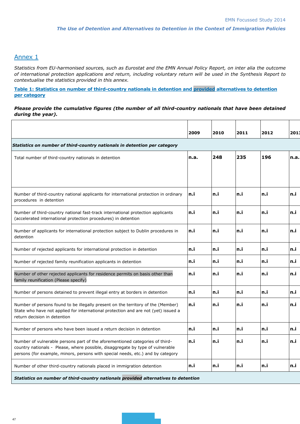# Annex 1

*Statistics from EU-harmonised sources, such as Eurostat and the EMN Annual Policy Report, on inter alia the outcome of international protection applications and return, including voluntary return will be used in the Synthesis Report to contextualise the statistics provided in this annex.*

**Table 1: Statistics on number of third-country nationals in detention and provided alternatives to detention per category**

#### *Please provide the cumulative figures (the number of all third-country nationals that have been detained during the year).*

|                                                                                                                                                                                                                                                   | 2009  | 2010 | 2011 | 2012 | 2013 |  |  |  |
|---------------------------------------------------------------------------------------------------------------------------------------------------------------------------------------------------------------------------------------------------|-------|------|------|------|------|--|--|--|
| Statistics on number of third-country nationals in detention per category                                                                                                                                                                         |       |      |      |      |      |  |  |  |
| Total number of third-country nationals in detention                                                                                                                                                                                              | n.a.  | 248  | 235  | 196  | n.a. |  |  |  |
|                                                                                                                                                                                                                                                   |       |      |      |      |      |  |  |  |
|                                                                                                                                                                                                                                                   |       |      |      |      |      |  |  |  |
| Number of third-country national applicants for international protection in ordinary<br>procedures in detention                                                                                                                                   | ln.il | n.i  | n.i  | n.i  | ln.i |  |  |  |
| Number of third-country national fast-track international protection applicants<br>(accelerated international protection procedures) in detention                                                                                                 | ln.i  | n.i  | n.i  | n.i  | n.i  |  |  |  |
| Number of applicants for international protection subject to Dublin procedures in<br>detention                                                                                                                                                    | ln.il | n.i  | n.i  | n.i  | ln.i |  |  |  |
| Number of rejected applicants for international protection in detention                                                                                                                                                                           | n.i   | n.i  | n.i  | n.i  | n.i  |  |  |  |
| Number of rejected family reunification applicants in detention                                                                                                                                                                                   | n.i   | n.i  | n.i  | n.i  | ln.i |  |  |  |
| Number of other rejected applicants for residence permits on basis other than<br>family reunification (Please specify)                                                                                                                            | ln.i  | n.i  | n.i  | n.i  | n.i  |  |  |  |
| Number of persons detained to prevent illegal entry at borders in detention                                                                                                                                                                       | n.i   | n.i  | n.i  | n.i  | n.i  |  |  |  |
| Number of persons found to be illegally present on the territory of the (Member)<br>State who have not applied for international protection and are not (yet) issued a<br>return decision in detention                                            | ln.i  | n.i  | n.i  | n.i  | ln.i |  |  |  |
| Number of persons who have been issued a return decision in detention                                                                                                                                                                             | ln.il | n.i  | n.i  | n.i  | ln.i |  |  |  |
| Number of vulnerable persons part of the aforementioned categories of third-<br>country nationals - Please, where possible, disaggregate by type of vulnerable<br>persons (for example, minors, persons with special needs, etc.) and by category | n.i   | n.i  | n.i  | n.i  | ln.i |  |  |  |
| Number of other third-country nationals placed in immigration detention                                                                                                                                                                           | ln.il | n.i  | n.i  | n.i  | n.i  |  |  |  |
|                                                                                                                                                                                                                                                   |       |      |      |      |      |  |  |  |

*Statistics on number of third-country nationals provided alternatives to detention*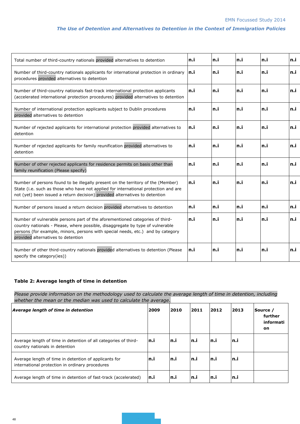| Total number of third-country nationals provided alternatives to detention                                                                                                                                                                                                              | ln.i | n.i | n.i  | n.i | ln.i |
|-----------------------------------------------------------------------------------------------------------------------------------------------------------------------------------------------------------------------------------------------------------------------------------------|------|-----|------|-----|------|
| Number of third-country nationals applicants for international protection in ordinary<br>procedures provided alternatives to detention                                                                                                                                                  | In.i | n.i | ln.i | n.i | ln.i |
| Number of third-country nationals fast-track international protection applicants<br>(accelerated international protection procedures) provided alternatives to detention                                                                                                                | ln.i | n.i | n.i  | n.i | ln.i |
| Number of international protection applicants subject to Dublin procedures<br>provided alternatives to detention                                                                                                                                                                        | ln.i | n.i | n.i  | n.i | ln.i |
| Number of rejected applicants for international protection provided alternatives to<br>detention                                                                                                                                                                                        | ln.i | n.i | ln.i | n.i | ln.i |
| Number of rejected applicants for family reunification provided alternatives to<br>detention                                                                                                                                                                                            | ln.i | n.i | n.i  | n.i | ln.i |
| Number of other rejected applicants for residence permits on basis other than<br>family reunification (Please specify)                                                                                                                                                                  | ln.i | n.i | n.i  | n.i | ln.i |
| Number of persons found to be illegally present on the territory of the (Member)<br>State (i.e. such as those who have not applied for international protection and are<br>not (yet) been issued a return decision) provided alternatives to detention                                  | ln.i | n.i | ln.i | n.i | n.i  |
| Number of persons issued a return decision provided alternatives to detention                                                                                                                                                                                                           | ln.i | n.i | ln.i | n.i | ln.i |
| Number of vulnerable persons part of the aforementioned categories of third-<br>country nationals - Please, where possible, disaggregate by type of vulnerable<br>persons (for example, minors, persons with special needs, etc.) and by category<br>provided alternatives to detention | ln.i | n.i | n.i  | n.i | ln.i |
| Number of other third-country nationals provided alternatives to detention (Please<br>specify the category(ies))                                                                                                                                                                        | ln.i | n.i | n.i  | n.i | ln.i |

#### **Table 2: Average length of time in detention**

*Please provide information on the methodology used to calculate the average length of time in detention, including whether the mean or the median was used to calculate the average.*

| Average length of time in detention                                                                      | 2009 | 2010  | 2011 | 2012 | 2013 | Source /<br>further<br>informati<br>on |
|----------------------------------------------------------------------------------------------------------|------|-------|------|------|------|----------------------------------------|
| Average length of time in detention of all categories of third-<br>country nationals in detention        | ln.i | ln.il | ln.i | ln.i | n.i  |                                        |
| Average length of time in detention of applicants for<br>international protection in ordinary procedures | In.i | ln.il | ln.i | ln.i | ln.i |                                        |
| Average length of time in detention of fast-track (accelerated)                                          | ln.i | In.i  | In.i | ln.i | n.i  |                                        |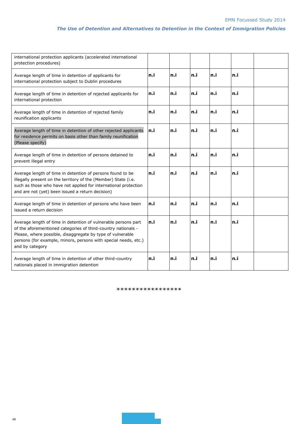| international protection applicants (accelerated international<br>protection procedures)                                                                                                                                                                                            |      |      |      |      |      |  |
|-------------------------------------------------------------------------------------------------------------------------------------------------------------------------------------------------------------------------------------------------------------------------------------|------|------|------|------|------|--|
| Average length of time in detention of applicants for<br>international protection subject to Dublin procedures                                                                                                                                                                      | n.i  | ln.i | ln.i | ln.i | n.i  |  |
| Average length of time in detention of rejected applicants for<br>international protection                                                                                                                                                                                          | ln.i | n.i  | ln.i | ln.i | ln.i |  |
| Average length of time in detention of rejected family<br>reunification applicants                                                                                                                                                                                                  | n.i  | ln.i | ln.i | ln.i | ln.i |  |
| Average length of time in detention of other rejected applicants<br>for residence permits on basis other than family reunification<br>(Please specify)                                                                                                                              | ln.i | n.i  | ln.i | ln.i | ln.i |  |
| Average length of time in detention of persons detained to<br>prevent illegal entry                                                                                                                                                                                                 | n.i  | ln.i | ln.i | ln.i | ln.i |  |
| Average length of time in detention of persons found to be<br>illegally present on the territory of the (Member) State (i.e.<br>such as those who have not applied for international protection<br>and are not (yet) been issued a return decision)                                 | n.i  | n.i  | ln.i | n.i  | n.i  |  |
| Average length of time in detention of persons who have been<br>issued a return decision                                                                                                                                                                                            | n.i  | n.i  | n.i  | n.i  | n.i  |  |
| Average length of time in detention of vulnerable persons part<br>of the aforementioned categories of third-country nationals -<br>Please, where possible, disaggregate by type of vulnerable<br>persons (for example, minors, persons with special needs, etc.)<br>and by category | n.i  | n.i  | ln.i | ln.i | n.i  |  |
| Average length of time in detention of other third-country<br>nationals placed in immigration detention                                                                                                                                                                             | n.i  | n.i  | n.i  | n.i  | n.i  |  |

\*\*\*\*\*\*\*\*\*\*\*\*\*\*\*\*\*